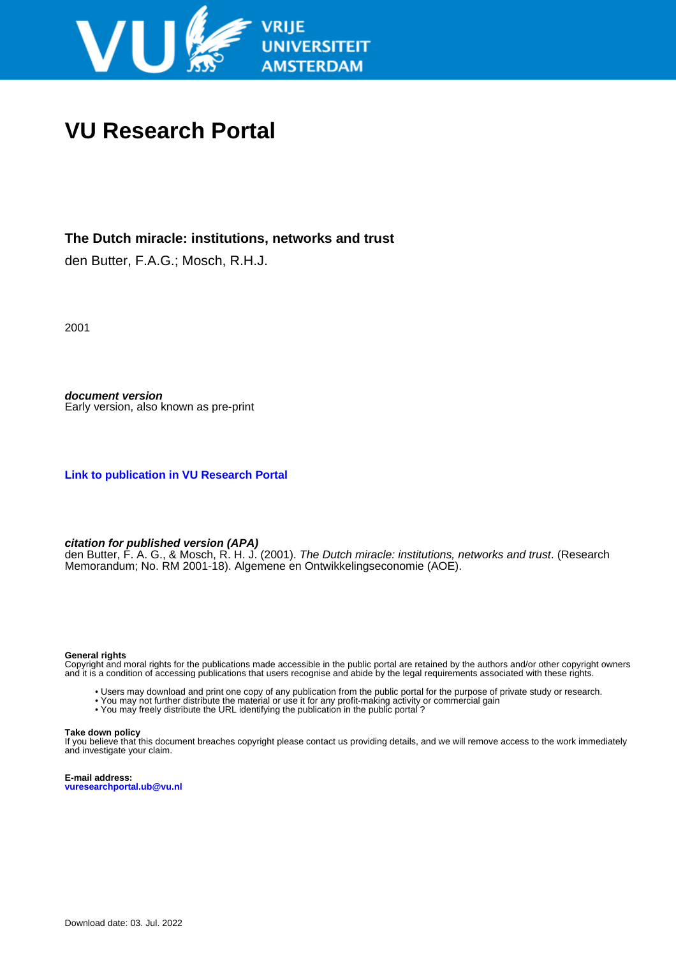

# **VU Research Portal**

## **The Dutch miracle: institutions, networks and trust**

den Butter, F.A.G.; Mosch, R.H.J.

2001

**document version** Early version, also known as pre-print

**[Link to publication in VU Research Portal](https://research.vu.nl/en/publications/1ff4911f-9000-4133-abfa-84abb4bbf255)**

#### **citation for published version (APA)**

den Butter, F. A. G., & Mosch, R. H. J. (2001). *The Dutch miracle: institutions, networks and trust*. (Research Memorandum; No. RM 2001-18). Algemene en Ontwikkelingseconomie (AOE).

#### **General rights**

Copyright and moral rights for the publications made accessible in the public portal are retained by the authors and/or other copyright owners and it is a condition of accessing publications that users recognise and abide by the legal requirements associated with these rights.

- Users may download and print one copy of any publication from the public portal for the purpose of private study or research.
- You may not further distribute the material or use it for any profit-making activity or commercial gain
- You may freely distribute the URL identifying the publication in the public portal?

#### **Take down policy**

If you believe that this document breaches copyright please contact us providing details, and we will remove access to the work immediately and investigate your claim.

**E-mail address: vuresearchportal.ub@vu.nl**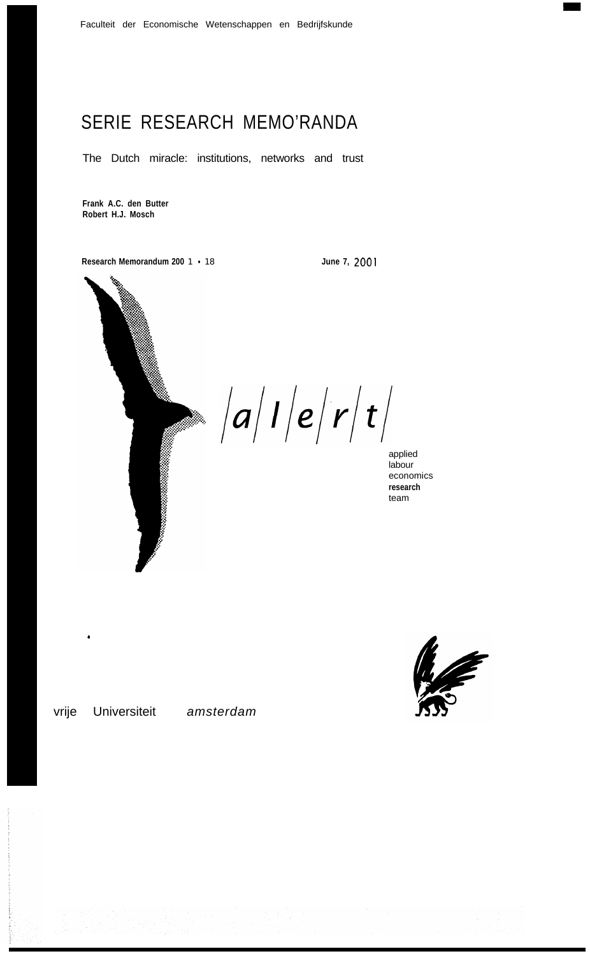# SERIE RESEARCH MEMO'RANDA

The Dutch miracle: institutions, networks and trust

**Frank A.C. den Butter Robert H.J. Mosch**

**Research Memorandum 200** 1 - 18 **June 7, 2001**



 $\blacktriangleright$   $\big|a\big|I\big|e\big|r\big|t\big|$ 

applied labour economics **research** team



.

vrije Universiteit *amsterdam*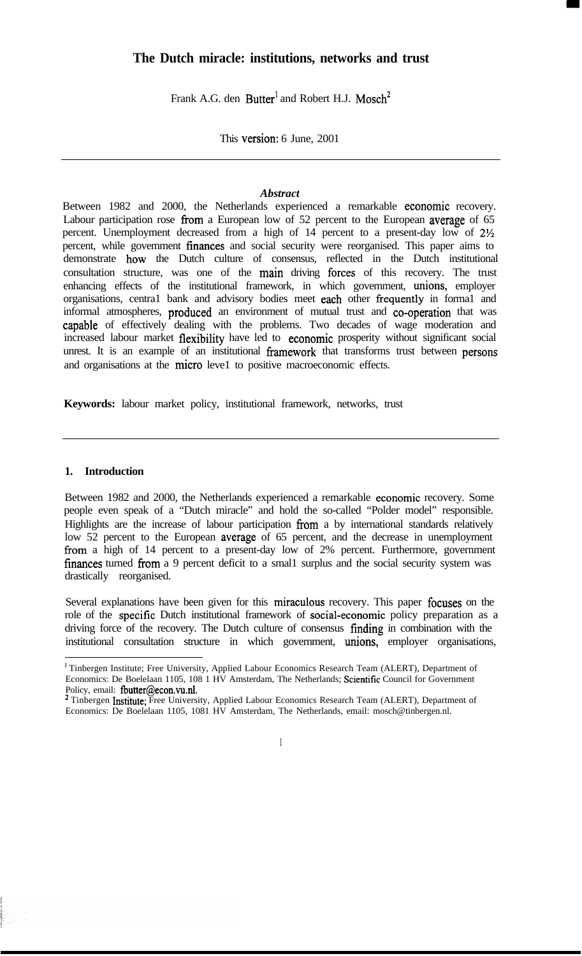## **The Dutch miracle: institutions, networks and trust**

Frank A.G. den Butter<sup>1</sup> and Robert H.J. Mosch<sup>2</sup>

This version: 6 June, 2001

## *Abstract*

Between 1982 and 2000, the Netherlands experienced a remarkable economie recovery. Labour participation rose from a European low of 52 percent to the European average of 65 percent. Unemployment decreased from a high of 14 percent to a present-day low of 2% percent, while govemment finances and social security were reorganised. This paper aims to demonstrate how the Dutch culture of consensus, reflected in the Dutch institutional consultation structure, was one of the main driving forces of this recovery. The trust enhancing effects of the institutional framework, in which government, unions, employer organisations, centra1 bank and advisory bodies meet each other fiequently in forma1 and informal atmospheres, produced an environment of mutual trust and co-operation that was capable of effectively dealing with the problems. Two decades of wage moderation and increased labour market flexibility have led to economie prosperity without significant social unrest. It is an example of an institutional framework that transforms trust between persons and organisations at the micro leve1 to positive macroeconomic effects.

**Keywords:** labour market policy, institutional framework, networks, trust

### **1. Introduction**

Between 1982 and 2000, the Netherlands experienced a remarkable economie recovery. Some people even speak of a "Dutch miracle" and hold the so-called "Polder model" responsible. Highlights are the increase of labour participation from a by international standards relatively low 52 percent to the European average of 65 percent, and the decrease in unemployment from a high of 14 percent to a present-day low of 2% percent. Furthermore, government finances turned from a 9 percent deficit to a small surplus and the social security system was drastically reorganised.

Several explanations have been given for this miraculeus recovery. This paper focuses on the role of the specific Dutch institutional framework of social-economie policy preparation as a driving force of the recovery. The Dutch culture of consensus finding in combination with the institutional consultation structure in which government, unions, employer organisations,

<sup>&#</sup>x27; Tinbergen Institute; Free University, Applied Labour Economics Research Team (ALERT), Department of Economics: De Boelelaan 1105, 108 1 HV Amsterdam, The Netherlands; Scientifïc Council for Government Policy, email: **fbutter@econ.** 

<sup>&</sup>lt;sup>2</sup> Tinbergen Institute; Free University, Applied Labour Economics Research Team (ALERT), Department of Economics: De Boelelaan 1105, 1081 HV Amsterdam, The Netherlands, email: mosch@tinbergen.nl.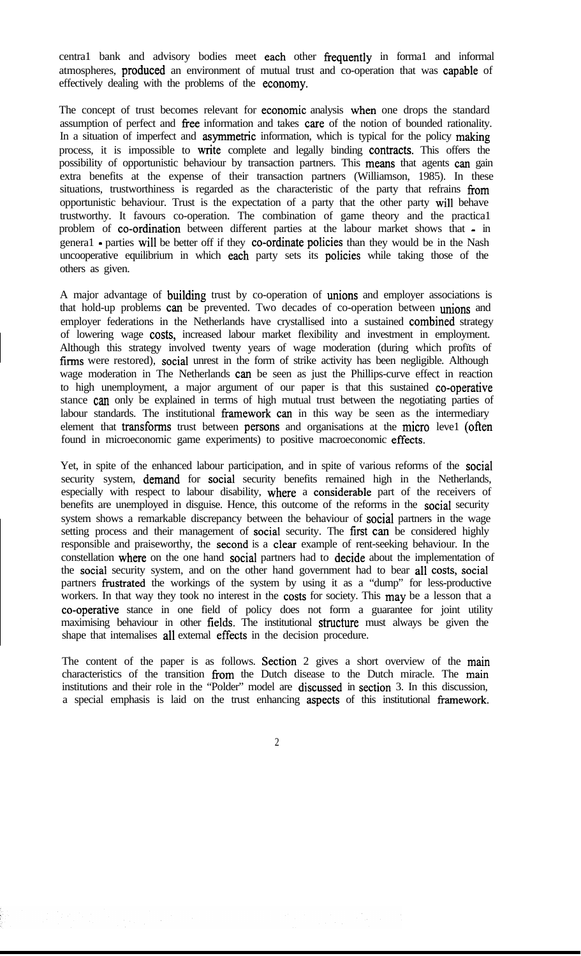centra1 bank and advisory bodies meet each other frequently in forma1 and informal atmospheres, produced an environment of mutual trust and co-operation that was capable of effectively dealing with the problems of the economy.

The concept of trust becomes relevant for **economic** analysis when one drops the standard assumption of perfect and free information and takes care of the notion of bounded rationality. In a situation of imperfect and **asymmetric** information, which is typical for the policy making process, it is impossible to write complete and legally binding contracts. This offers the possibility of opportunistic behaviour by transaction partners. This means that agents can gain extra benefits at the expense of their transaction partners (Williamson, 1985). In these situations, trustworthiness is regarded as the characteristic of the party that refrains from opportunistic behaviour. Trust is the expectation of a party that the other party wil1 behave trustworthy. It favours co-operation. The combination of game theory and the practica1 problem of co-ordination between different parties at the labour market shows that - in genera1 - parties will be better off if they co-ordinate policies than they would be in the Nash uncooperative equilibrium in which each party sets its policies while taking those of the others as given.

A major advantage of building trust by co-operation of unions and employer associations is that hold-up problems can be prevented. Two decades of co-operation between unions and employer federations in the Netherlands have crystallised into a sustained combined strategy of lowering wage costs, increased labour market flexibility and investment in employment. Although this strategy involved twenty years of wage moderation (during which profïts of firms were restored), social unrest in the form of strike activity has been negligible. Although wage moderation in The Netherlands can be seen as just the Phillips-curve effect in reaction to high unemployment, a major argument of our paper is that this sustained co-operative stance can only be explained in terms of high mutual trust between the negotiating parties of labour standards. The institutional framework can in this way be seen as the intermediary element that transforms trust between persons and organisations at the micro leve1 (often found in microeconomic game experiments) to positive macroeconomic effects.

Yet, in spite of the enhanced labour participation, and in spite of various reforms of the social security system, demand for social security benefits remained high in the Netherlands, especially with respect to labour disability, where a considerable part of the receivers of benefits are unemployed in disguise. Hence, this outcome of the reforms in the social security system shows a remarkable discrepancy between the behaviour of social partners in the wage setting process and their management of social security. The first can be considered highly responsible and praiseworthy, the second is a clear example of rent-seeking behaviour. In the constellation where on the one hand social partners had to decide about the implementation of the social security system, and on the other hand government had to bear al1 costs, social partners frustrated the workings of the system by using it as a "dump" for less-productive workers. In that way they took no interest in the costs for society. This may be a lesson that a co-operative stance in one field of policy does not form a guarantee for joint utility maximising behaviour in other fields. The institutional structure must always be given the shape that intemalises al1 extemal effects in the decision procedure.

The content of the paper is as follows. Section 2 gives a short overview of the main characteristics of the transition from the Dutch disease to the Dutch miracle. The main institutions and their role in the "Polder" model are discussed in section 3. In this discussion, a special emphasis is laid on the trust enhancing aspects of this institutional framework.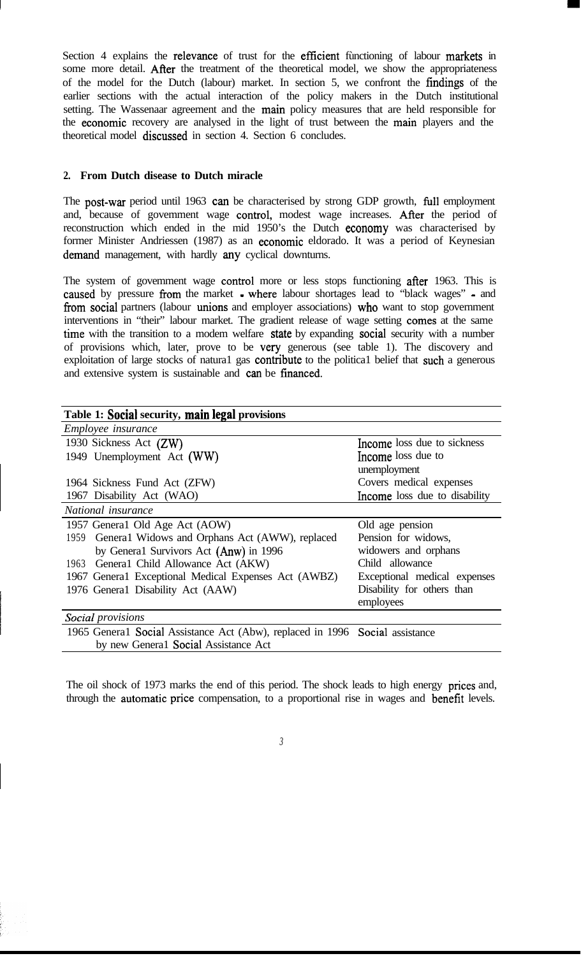Section 4 explains the relevance of trust for the efficient functioning of labour markets in some more detail. After the treatment of the theoretical model, we show the appropriateness of the model for the Dutch (labour) market. In section 5, we confront the fïndings of the earlier sections with the actual interaction of the policy makers in the Dutch institutional setting. The Wassenaar agreement and the main policy measures that are held responsible for the economie recovery are analysed in the light of trust between the main players and the theoretical model discussed in section 4. Section 6 concludes.

## **2. From Dutch disease to Dutch miracle**

The post-war period until 1963 can be characterised by strong GDP growth, full employment and, because of govemment wage control, modest wage increases. After the period of reconstruction which ended in the mid 1950's the Dutch economy was characterised by former Minister Andriessen (1987) as an economie eldorado. It was a period of Keynesian demand management, with hardly any cyclical downturns.

The system of govemment wage control more or less stops functioning after 1963. This is caused by pressure from the market - where labour shortages lead to "black wages" - and from social partners (labour unions and employer associations) who want to stop government interventions in "their" labour market. The gradient release of wage setting comes at the same time with the transition to a modem welfare state by expanding social security with a number of provisions which, later, prove to be very generous (see table 1). The discovery and exploitation of large stocks of natura1 gas contribute to the politica1 belief that such a generous and extensive system is sustainable and can be financed.

| Table 1: Social security, main legal provisions                              |                               |
|------------------------------------------------------------------------------|-------------------------------|
| Employee insurance                                                           |                               |
| 1930 Sickness Act (ZW)                                                       | Income loss due to sickness   |
| 1949 Unemployment Act (WW)                                                   | Income loss due to            |
|                                                                              | unemployment                  |
| 1964 Sickness Fund Act (ZFW)                                                 | Covers medical expenses       |
| 1967 Disability Act (WAO)                                                    | Income loss due to disability |
| National insurance                                                           |                               |
| 1957 General Old Age Act (AOW)                                               | Old age pension               |
| General Widows and Orphans Act (AWW), replaced<br>1959                       | Pension for widows,           |
| by General Survivors Act (Anw) in 1996                                       | widowers and orphans          |
| 1963 General Child Allowance Act (AKW)                                       | Child allowance               |
| 1967 General Exceptional Medical Expenses Act (AWBZ)                         | Exceptional medical expenses  |
| 1976 General Disability Act (AAW)                                            | Disability for others than    |
|                                                                              | employees                     |
| Social provisions                                                            |                               |
| 1965 General Social Assistance Act (Abw), replaced in 1996 Social assistance |                               |
| by new General Social Assistance Act                                         |                               |

The oil shock of 1973 marks the end of this period. The shock leads to high energy prices and, through the automatie price compensation, to a proportional rise in wages and benefit levels.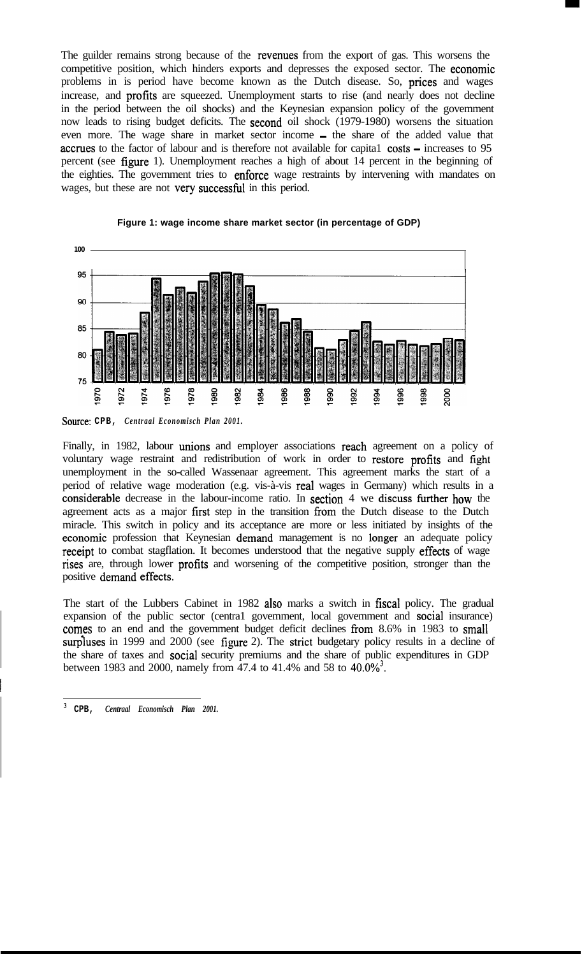The guilder remains strong because of the revenues from the export of gas. This worsens the competitive position, which hinders exports and depresses the exposed sector. The economie problems in is period have become known as the Dutch disease. So, prices and wages increase, and profits are squeezed. Unemployment starts to rise (and nearly does not decline in the period between the oil shocks) and the Keynesian expansion policy of the govemment now leads to rising budget deficits. The second oil shock (1979-1980) worsens the situation even more. The wage share in market sector income - the share of the added value that accrues to the factor of labour and is therefore not available for capital costs – increases to 95 percent (see figure 1). Unemployment reaches a high of about 14 percent in the beginning of the eighties. The government tries to enforce wage restraints by intervening with mandates on wages, but these are not very successful in this period.





*Source:* **CPB,** *Centraal Economisch Plan 2001.*

Finally, in 1982, labour unions and employer associations reach agreement on a policy of voluntary wage restraint and redistribution of work in order to restore profïts and fight unemployment in the so-called Wassenaar agreement. This agreement marks the start of a period of relative wage moderation (e.g. vis-à-vis real wages in Germany) which results in a considerable decrease in the labour-income ratio. In section 4 we discuss türther how the agreement acts as a major first step in the transition from the Dutch disease to the Dutch miracle. This switch in policy and its acceptance are more or less initiated by insights of the economie profession that Keynesian demand management is no longer an adequate policy receipt to combat stagflation. It becomes understood that the negative supply effects of wage rises are, through lower profits and worsening of the competitive position, stronger than the positive demand effects.

The start of the Lubbers Cabinet in 1982 also marks a switch in fiscal policy. The gradual expansion of the public sector (centra1 govemment, local govemment and social insurance) comes to an end and the govemment budget deficit declines from 8.6% in 1983 to smal1 surpluses in 1999 and 2000 (see figure 2). The strict budgetary policy results in a decline of the share of taxes and social security premiums and the share of public expenditures in GDP between 1983 and 2000, namely from 47.4 to 41.4% and 58 to 40.0%<sup>3</sup>.

*<sup>3</sup>* **CPB,** *Centraal Economisch Plan 2001.*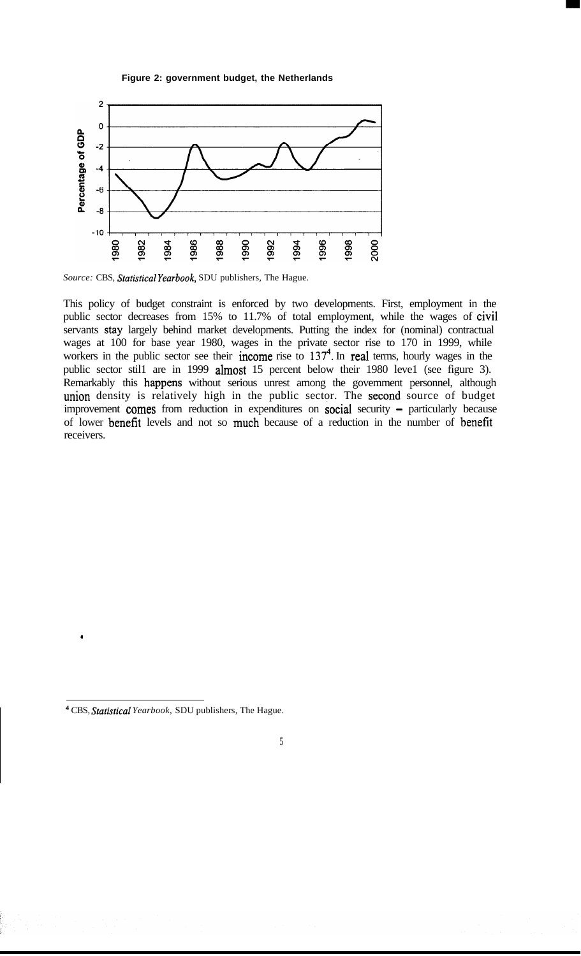



Source: CBS, Statistical Yearbook, SDU publishers, The Hague.

This policy of budget constraint is enforced by two developments. First, employment in the public sector decreases from 15% to 11.7% of total employment, while the wages of civil servants stay largely behind market developments. Putting the index for (nominal) contractual wages at 100 for base year 1980, wages in the private sector rise to 170 in 1999, while workers in the public sector see their income rise to 137<sup>4</sup>. In real terms, hourly wages in the public sector still are in 1999 almost 15 percent below their 1980 level (see figure 3). Remarkably this happens without serious unrest among the govemment personnel, although union density is relatively high in the public sector. The second source of budget improvement comes from reduction in expenditures on social security - particularly because of lower benefit levels and not so much because of a reduction in the number of benefit receivers.

.

*<sup>4</sup>* CBS, *Statistical Yearbook,* SDU publishers, The Hague.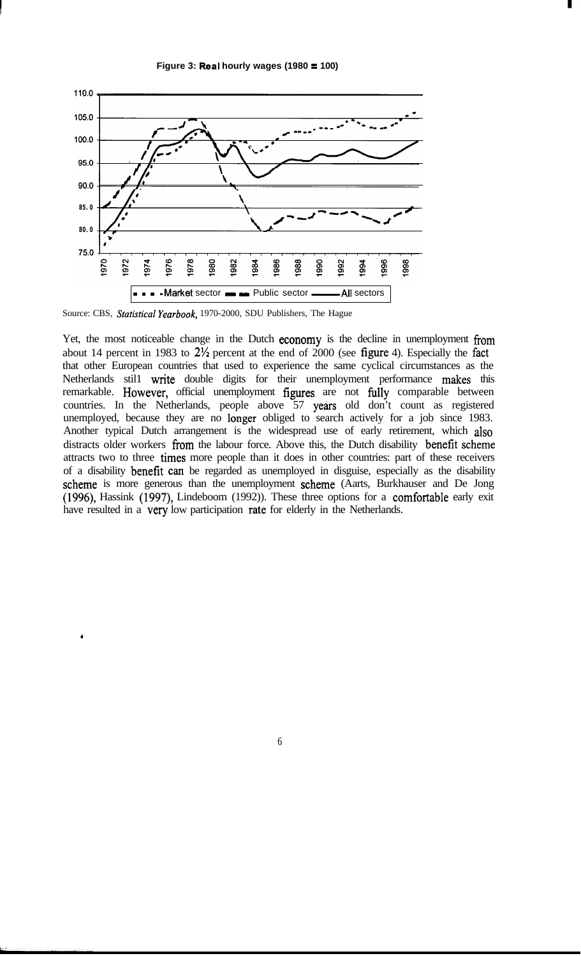



Source: CBS, Statistical Yearbook, 1970-2000, SDU Publishers, The Hague

.

Yet, the most noticeable change in the Dutch economy is the decline in unemployment from about 14 percent in 1983 to 2% percent at the end of 2000 (see fígure 4). Especially the fact that other European countries that used to experience the same cyclical circumstances as the Netherlands stil1 write double digits for their unemployment performance makes this remarkable. However, official unemployment fïgures are not fully comparable between countries. In the Netherlands, people above 57 years old don't count as registered unemployed, because they are no longer obliged to search actively for a job since 1983. Another typical Dutch arrangement is the widespread use of early retirement, which also distracts older workers from the labour force. Above this, the Dutch disability benefit scheme attracts two to three times more people than it does in other countries: part of these receivers of a disability **benefit** can be regarded as unemployed in disguise, especially as the disability scheme is more generous than the unemployment scheme (Aarts, Burkhauser and De Jong (1996), Hassink (1997), Lindeboom (1992)). These three options for a comfortable early exit have resulted in a very low participation rate for elderly in the Netherlands.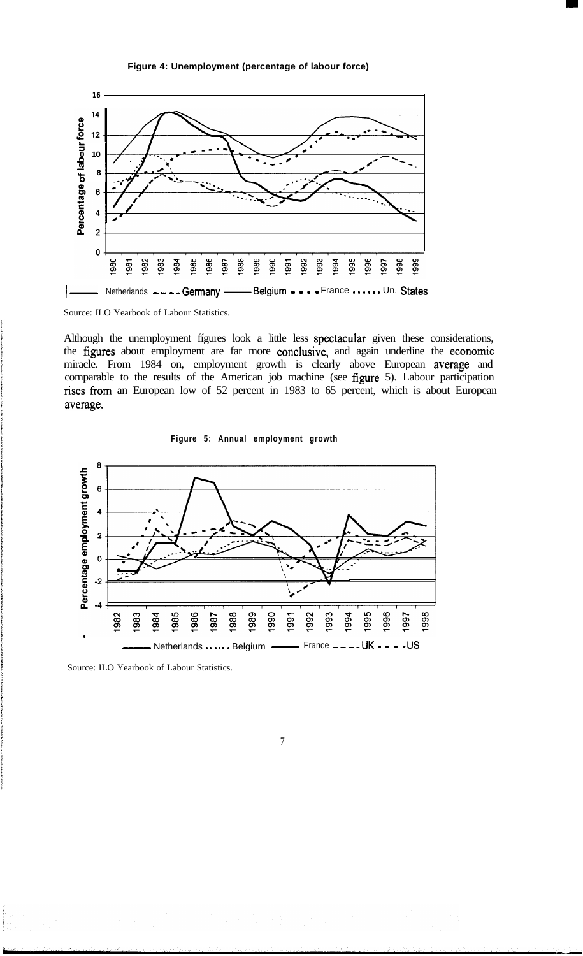#### **Figure 4: Unemployment (percentage of labour force)**



Source: ILO Yearbook of Labour Statistics.

Although the unemployment fígures look a little less spectacular given these considerations, the fïgures about employment are far more conclusive, and again underline the economie miracle. From 1984 on, employment growth is clearly above European average and comparable to the results of the American job machine (see fïgure 5). Labour participation rises from an European low of 52 percent in 1983 to 65 percent, which is about European average.

**Figure 5: Annual employment growth**



Source: ILO Yearbook of Labour Statistics.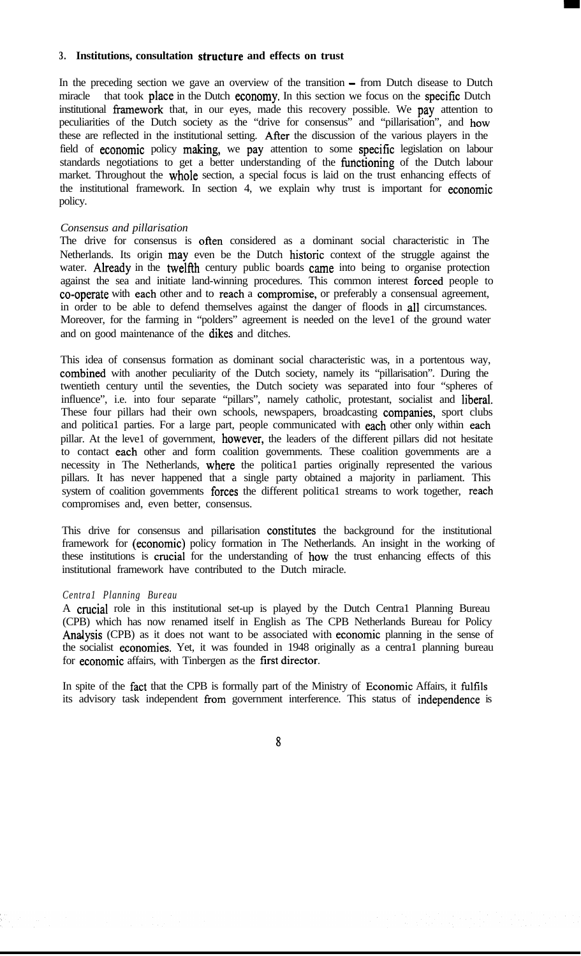#### **3. Institutions, consultation structure and effects on trust**

In the preceding section we gave an overview of the transition - from Dutch disease to Dutch miracle that took place in the Dutch economy. In this section we focus on the specific Dutch institutional framework that, in our eyes, made this recovery possible. We pay attention to peculiarities of the Dutch society as the "drive for consensus" and "pillarisation", and how these are reflected in the institutional setting. Afier the discussion of the various players in the field of economic policy making, we pay attention to some specific legislation on labour standards negotiations to get a better understanding of the functioning of the Dutch labour market. Throughout the whole section, a special focus is laid on the trust enhancing effects of the institutional framework. In section 4, we explain why trust is important for economie policy.

#### *Consensus and pillarisation*

The drive for consensus is often considered as a dominant social characteristic in The Netherlands. Its origin may even be the Dutch historie context of the struggle against the water. Already in the twelfth century public boards came into being to organise protection against the sea and initiate land-winning procedures. This common interest forced people to co-operate with each other and to reach a compromise, or preferably a consensual agreement, in order to be able to defend themselves against the danger of floods in al1 circumstances. Moreover, for the farming in "polders" agreement is needed on the leve1 of the ground water and on good maintenance of the dikes and ditches.

This idea of consensus formation as dominant social characteristic was, in a portentous way, combined with another peculiarity of the Dutch society, namely its "pillarisation". During the twentieth century until the seventies, the Dutch society was separated into four "spheres of influence", i.e. into four separate "pillars", namely catholic, protestant, socialist and liberal. These four pillars had their own schools, newspapers, broadcasting companies, sport clubs and politica1 parties. For a large part, people communicated with each other only within each pillar. At the leve1 of government, however, the leaders of the different pillars did not hesitate to contact each other and form coalition govemments. These coalition govemments are a necessity in The Netherlands, where the politica1 parties originally represented the various pillars. It has never happened that a single party obtained a majority in parliament. This system of coalition govemments forces the different political streams to work together, reach compromises and, even better, consensus.

This drive for consensus and pillarisation constitutes the background for the institutional framework for (economie) policy formation in The Netherlands. An insight in the working of these institutions is crucial for the understanding of how the trust enhancing effects of this institutional framework have contributed to the Dutch miracle.

#### *Centra1 Planning Bureau*

A crucial role in this institutional set-up is played by the Dutch Centra1 Planning Bureau (CPB) which has now renamed itself in English as The CPB Netherlands Bureau for Policy Analysis (CPB) as it does not want to be associated with economie planning in the sense of the socialist economies. Yet, it was founded in 1948 originally as a centra1 planning bureau for economic affairs, with Tinbergen as the first director.

In spite of the fact that the CPB is formally part of the Ministry of Economie Affairs, it fulfils its advisory task independent from government interference. This status of independence is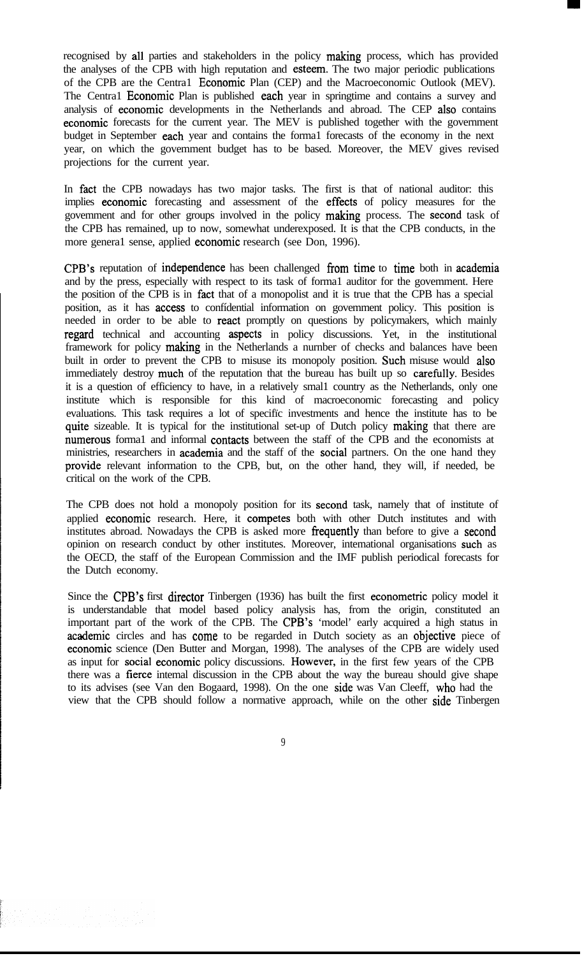recognised by al1 parties and stakeholders in the policy making process, which has provided the analyses of the CPB with high reputation and esteem. The two major periodic publications of the CPB are the Centra1 Economie Plan (CEP) and the Macroeconomic Outlook (MEV). The Centra1 Economic Plan is published each year in springtime and contains a survey and analysis of economie developments in the Netherlands and abroad. The CEP also contains economie forecasts for the current year. The MEV is published together with the government budget in September each year and contains the forma1 forecasts of the economy in the next year, on which the govemment budget has to be based. Moreover, the MEV gives revised projections for the current year.

In fact the CPB nowadays has two major tasks. The first is that of national auditor: this implies economie forecasting and assessment of the effects of policy measures for the govemment and for other groups involved in the policy making process. The second task of the CPB has remained, up to now, somewhat underexposed. It is that the CPB conducts, in the more genera1 sense, applied economie research (see Don, 1996).

CPB's reputation of independence has been challenged from time to time both in academia and by the press, especially with respect to its task of forma1 auditor for the govemment. Here the position of the CPB is in fact that of a monopolist and it is true that the CPB has a special position, as it has access to confídential information on govemment policy. This position is needed in order to be able to react promptly on questions by policymakers, which mainly regard technical and accounting aspects in policy discussions. Yet, in the institutional framework for policy making in the Netherlands a nurnber of checks and balances have been built in order to prevent the CPB to misuse its monopoly position. Such misuse would also immediately destroy much of the reputation that the bureau has built up so carefully. Besides it is a question of efficiency to have, in a relatively smal1 country as the Netherlands, only one institute which is responsible for this kind of macroeconomic forecasting and policy evaluations. This task requires a lot of specifïc investments and hence the institute has to be quite sizeable. It is typical for the institutional set-up of Dutch policy making that there are numerous formal and informal contacts between the staff of the CPB and the economists at ministries, researchers in **academia** and the staff of the **social** partners. On the one hand they provide relevant information to the CPB, but, on the other hand, they will, if needed, be critical on the work of the CPB.

The CPB does not hold a monopoly position for its second task, namely that of institute of applied economic research. Here, it competes both with other Dutch institutes and with institutes abroad. Nowadays the CPB is asked more frequently than before to give a second opinion on research conduct by other institutes. Moreover, intemational organisations such as the OECD, the staff of the European Commission and the IMF publish periodical forecasts for the Dutch economy.

Since the CPB's first director Tinbergen (1936) has built the first econometric policy model it is understandable that model based policy analysis has, from the origin, constituted an important part of the work of the CPB. The CPB's 'model' early acquired a high status in academie circles and has come to be regarded in Dutch society as an objective piece of economie science (Den Butter and Morgan, 1998). The analyses of the CPB are widely used as input for social economie policy discussions. However, in the first few years of the CPB there was a fíerce intemal discussion in the CPB about the way the bureau should give shape to its advises (see Van den Bogaard, 1998). On the one side was Van Cleeff, who had the view that the CPB should follow a normative approach, while on the other side Tinbergen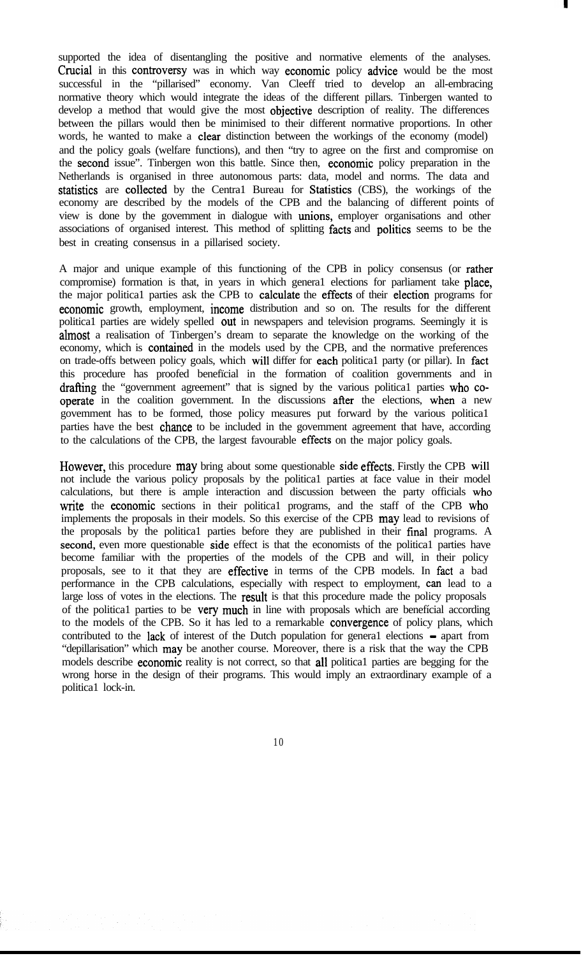supported the idea of disentangling the positive and normative elements of the analyses. Crucial in this controversy was in which way economie policy advice would be the most successful in the "pillarised" economy. Van Cleeff tried to develop an all-embracing normative theory which would integrate the ideas of the different pillars. Tinbergen wanted to develop a method that would give the most objective description of reality. The differences between the pillars would then be minimised to their different normative proportions. In other words, he wanted to make a clear distinction between the workings of the economy (model) and the policy goals (welfare functions), and then "try to agree on the first and compromise on the second issue". Tinbergen won this battle. Since then, economie policy preparation in the Netherlands is organised in three autonomous parts: data, model and norms. The data and statistics are collected by the Centra1 Bureau for Statistics (CBS), the workings of the economy are described by the models of the CPB and the balancing of different points of view is done by the govemment in dialogue with unions, employer organisations and other associations of organised interest. This method of splitting facts and politics seems to be the best in creating consensus in a pillarised society.

A major and unique example of this functioning of the CPB in policy consensus (or rather compromise) formation is that, in years in which genera1 elections for parliament take place, the major politica1 parties ask the CPB to calculate the effects of their election programs for economie growth, employment, income distribution and so on. The results for the different politica1 parties are widely spelled out in newspapers and television programs. Seemingly it is almost a realisation of Tinbergen's dream to separate the knowledge on the working of the economy, which is contained in the models used by the CPB, and the normative preferences on trade-offs between policy goals, which wil1 differ for each politica1 party (or pillar). In fact this procedure has proofed benefïcial in the formation of coalition governments and in drafting the "government agreement" that is signed by the various politica1 parties who cooperate in the coalition government. In the discussions after the elections, when a new govemment has to be formed, those policy measures put forward by the various politica1 parties have the best chance to be included in the govemment agreement that have, according to the calculations of the CPB, the largest favourable effects on the major policy goals.

However, this procedure may bring about some questionable side effects. Firstly the CPB will not include the various policy proposals by the politica1 parties at face value in their model calculations, but there is ample interaction and discussion between the party officials who write the economic sections in their political programs, and the staff of the CPB who implements the proposals in their models. So this exercise of the CPB may lead to revisions of the proposals by the political parties before they are published in their final programs. A second, even more questionable side effect is that the economists of the political parties have become familiar with the properties of the models of the CPB and will, in their policy proposals, see to it that they are effective in terms of the CPB models. In fact a bad performance in the CPB calculations, especially with respect to employment, can lead to a large loss of votes in the elections. The **result** is that this procedure made the policy proposals of the politica1 parties to be very much in line with proposals which are benefícial according to the models of the CPB. So it has led to a remarkable convergence of policy plans, which contributed to the lack of interest of the Dutch population for general elections – apart from "depillarisation" which may be another course. Moreover, there is a risk that the way the CPB models describe **economic** reality is not correct, so that **all** political parties are begging for the wrong horse in the design of their programs. This would imply an extraordinary example of a politica1 lock-in.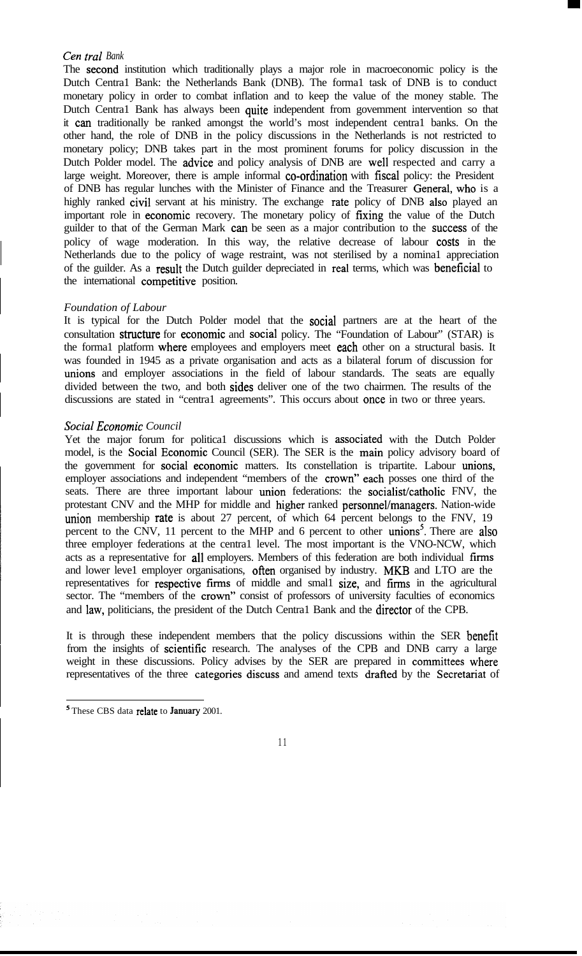## *Cen tral Bank*

The second institution which traditionally plays a major role in macroeconomic policy is the Dutch Centra1 Bank: the Netherlands Bank (DNB). The forma1 task of DNB is to conduct monetary policy in order to combat inflation and to keep the value of the money stable. The Dutch Centra1 Bank has always been quite independent from govemment intervention so that it can traditionally be ranked amongst the world's most independent centra1 banks. On the other hand, the role of DNB in the policy discussions in the Netherlands is not restricted to monetary policy; DNB takes part in the most prominent forums for policy discussion in the Dutch Polder model. The advice and policy analysis of DNB are wel1 respected and carry a large weight. Moreover, there is ample informal co-ordination with fiscal policy: the President of DNB has regular lunches with the Minister of Finance and the Treasurer General, who is a highly ranked civil servant at his ministry. The exchange rate policy of DNB also played an important role in economie recovery. The monetary policy of fixing the value of the Dutch guilder to that of the German Mark can be seen as a major contribution to the success of the policy of wage moderation. In this way, the relative decrease of labour costs in the Netherlands due to the policy of wage restraint, was not sterilised by a nomina1 appreciation of the guilder. As a result the Dutch guilder depreciated in real terms, which was beneficial to the international competitive position.

## *Foundation of Labour*

It is typical for the Dutch Polder model that the social partners are at the heart of the consultation structure for economie and social policy. The "Foundation of Labour" (STAR) is the formal platform where employees and employers meet each other on a structural basis. It was founded in 1945 as a private organisation and acts as a bilateral forum of discussion for unions and employer associations in the field of labour standards. The seats are equally divided between the two, and both sides deliver one of the two chairmen. The results of the discussions are stated in "centra1 agreements". This occurs about once in two or three years.

## *Social Economie Council*

Yet the major forum for politica1 discussions which is associated with the Dutch Polder model, is the Social Economie Council (SER). The SER is the main policy advisory board of the government for social economie matters. Its constellation is tripartite. Labour unions, employer associations and independent "members of the crown" each posses one third of the seats. There are three important labour union federations: the socialist/catholic FNV, the protestant CNV and the MHP for middle and higher ranked personnel/managers. Nation-wide union membership rate is about 27 percent, of which 64 percent belongs to the FNV, 19 percent to the CNV, 11 percent to the MHP and 6 percent to other unions<sup>5</sup>. There are also three employer federations at the centra1 level. The most important is the VNO-NCW, which acts as a representative for al1 employers. Members of this federation are both individual fïrms and lower leve1 employer organisations, often organised by industry. MKB and LTO are the representatives for respective firms of middle and smal1 size, and fïrms in the agricultural sector. The "members of the crown" consist of professors of university faculties of economics and law, politicians, the president of the Dutch Central Bank and the director of the CPB.

It is through these independent members that the policy discussions within the SER benefït from the insights of scientific research. The analyses of the CPB and DNB carry a large weight in these discussions. Policy advises by the SER are prepared in committees where representatives of the three categories discuss and amend texts drafted by the Secretariat of

<sup>5</sup> These CBS data relate to January 2001.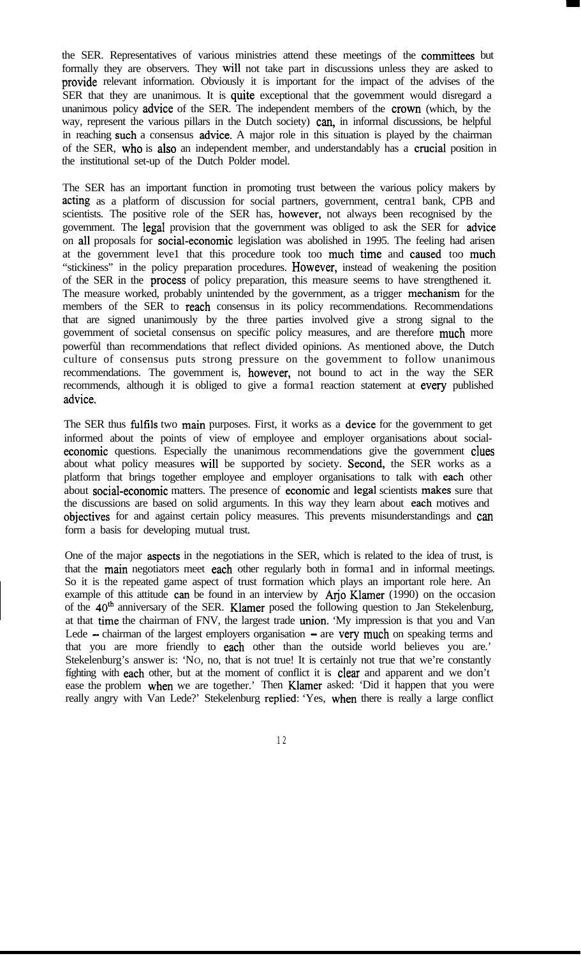the SER. Representatives of various ministries attend these meetings of the committees but formally they are observers. They wil1 not take part in discussions unless they are asked to provide relevant information. Obviously it is important for the impact of the advises of the SER that they are unanimous. It is quite exceptional that the govemment would disregard a unanimous policy advice of the SER. The independent members of the crown (which, by the way, represent the various pillars in the Dutch society) can, in informal discussions, be helpful in reaching such a consensus advice. A major role in this situation is played by the chairman of the SER, who is also an independent member, and understandably has a crucial position in the institutional set-up of the Dutch Polder model.

The SER has an important function in promoting trust between the various policy makers by acting as a platform of discussion for social partners, government, centra1 bank, CPB and scientists. The positive role of the SER has, however, not always been recognised by the govemment. The legal provision that the government was obliged to ask the SER for advice on al1 proposals for social-economie legislation was abolished in 1995. The feeling had arisen at the government leve1 that this procedure took too much time and caused too much "stickiness" in the policy preparation procedures. However, instead of weakening the position of the SER in the process of policy preparation, this measure seems to have strengthened it. The measure worked, probably unintended by the government, as a trigger mechanism for the members of the SER to reach consensus in its policy recommendations. Recommendations that are signed unanimously by the three parties involved give a strong signal to the govemment of societal consensus on specifïc policy measures, and are therefore much more powerfùl than recommendations that reflect divided opinions. As mentioned above, the Dutch culture of consensus puts strong pressure on the govemment to follow unanimous recommendations. The govemment is, however, not bound to act in the way the SER recommends, although it is obliged to give a forma1 reaction statement at every published advice.

The SER thus fulfils two main purposes. First, it works as a device for the govemment to get informed about the points of view of employee and employer organisations about socialeconomic questions. Especially the unanimous recommendations give the government clues about what policy measures wil1 be supported by society. Second, the SER works as a platform that brings together employee and employer organisations to talk with each other about social-economic matters. The presence of economic and legal scientists makes sure that the discussions are based on solid arguments. In this way they learn about each motives and objectives for and against certain policy measures. This prevents misunderstandings and can form a basis for developing mutual trust.

One of the major aspects in the negotiations in the SER, which is related to the idea of trust, is that the main negotiators meet each other regularly both in forma1 and in informal meetings. So it is the repeated game aspect of trust formation which plays an important role here. An example of this attitude can be found in an interview by Arjo Klamer (1990) on the occasion of the  $40<sup>th</sup>$  anniversary of the SER. Klamer posed the following question to Jan Stekelenburg, at that time the chairman of FNV, the largest trade union. 'My impression is that you and Van Lede  $-$  chairman of the largest employers organisation  $-$  are very much on speaking terms and that you are more friendly to each other than the outside world believes you are.' Stekelenburg's answer is: 'No, no, that is not true! It is certainly not true that we're constantly fíghting with each other, but at the moment of conflict it is clear and apparent and we don't ease the problem when we are together.' Then Klamer asked: 'Did it happen that you were really angry with Van Lede?' Stekelenburg replied: 'Yes, when there is really a large conflict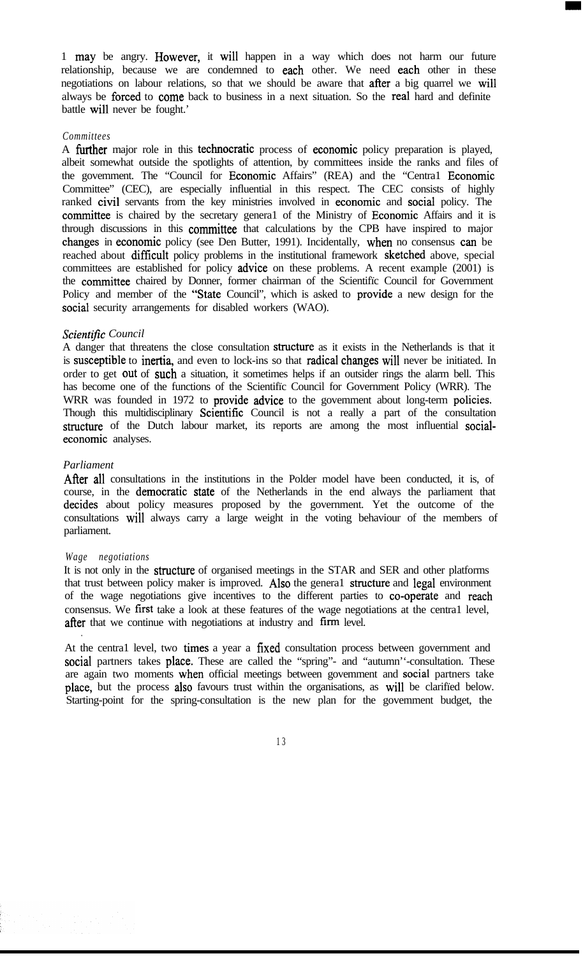1 may be angry. However, it wil1 happen in a way which does not harm our future relationship, because we are condemned to each other. We need each other in these negotiations on labour relations, so that we should be aware that after a big quarrel we wil1 always be forced to come back to business in a next situation. So the real hard and definite battle wil1 never be fought.'

#### *Committees*

A further major role in this technocratic process of economic policy preparation is played, albeit somewhat outside the spotlights of attention, by committees inside the ranks and files of the govemment. The "Council for Economie Affairs" (REA) and the "Centra1 Economie Committee" (CEC), are especially influential in this respect. The CEC consists of highly ranked civil servants from the key ministries involved in economic and social policy. The committee is chaired by the secretary general of the Ministry of Economic Affairs and it is through discussions in this committee that calculations by the CPB have inspired to major changes in economie policy (see Den Butter, 1991). Incidentally, when no consensus can be reached about difficult policy problems in the institutional framework sketched above, special committees are established for policy advice on these problems. A recent example (2001) is the committee chaired by Donner, former chairman of the Scientifïc Council for Government Policy and member of the "State Council", which is asked to provide a new design for the social security arrangements for disabled workers (WAO).

## **Scientific Council**

A danger that threatens the close consultation structure as it exists in the Netherlands is that it is susceptible to inertia, and even to lock-ins so that radical changes will never be initiated. In order to get out of such a situation, it sometimes helps if an outsider rings the alarm bell. This has become one of the functions of the Scientifïc Council for Government Policy (WRR). The WRR was founded in 1972 to provide advice to the govemment about long-term policies. Though this multidisciplinary Scientific Council is not a really a part of the consultation structure of the Dutch labour market, its reports are among the most influential socialeconomie analyses.

## *Parliament*

After all consultations in the institutions in the Polder model have been conducted, it is, of course, in the democratie state of the Netherlands in the end always the parliament that decides about policy measures proposed by the government. Yet the outcome of the consultations wil1 always carry a large weight in the voting behaviour of the members of parliament.

#### *Wage negotiations*

.

It is not only in the structure of organised meetings in the STAR and SER and other platforms that trust between policy maker is improved. Also the general structure and legal environment of the wage negotiations give incentives to the different parties to co-operate and reach consensus. We fïrst take a look at these features of the wage negotiations at the centra1 level, after that we continue with negotiations at industry and firm level.

At the centra1 level, two times a year a fixed consultation process between government and social partners takes place. These are called the "spring"- and "autumn"-consultation. These are again two moments when official meetings between govemment and social partners take place, but the process also favours trust within the organisations, as will be clarified below. Starting-point for the spring-consultation is the new plan for the govemment budget, the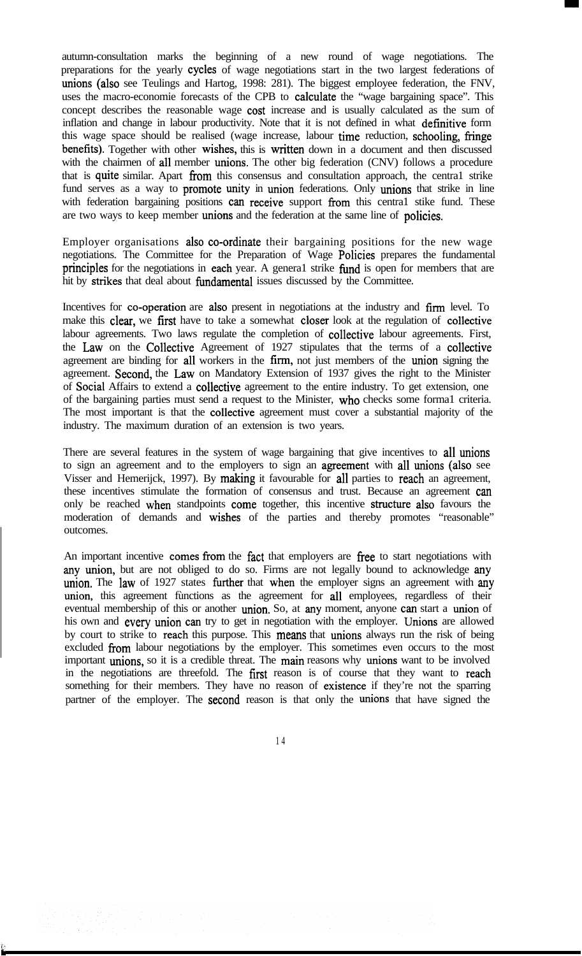autumn-consultation marks the beginning of a new round of wage negotiations. The preparations for the yearly cycles of wage negotiations start in the two largest federations of unions (also see Teulings and Hartog, 1998: 281). The biggest employee federation, the FNV, uses the macro-economie forecasts of the CPB to calculate the "wage bargaining space". This concept describes the reasonable wage **cost** increase and is usually calculated as the sum of inflation and change in labour productivity. Note that it is not defined in what definitive form this wage space should be realised (wage increase, labour time reduction, schooling, fringe benefits). Together with other wishes, this is written down in a document and then discussed with the chairmen of all member unions. The other big federation (CNV) follows a procedure that is quite similar. Apart fiom this consensus and consultation approach, the centra1 strike fund serves as a way to **promote unity** in union federations. Only unions that strike in line with federation bargaining positions can receive support from this central stike fund. These are two ways to keep member **unions** and the federation at the same line of **policies**.

Employer organisations also co-ordinate their bargaining positions for the new wage negotiations. The Committee for the Preparation of Wage Policies prepares the fundamental principles for the negotiations in each year. A general strike fund is open for members that are hit by strikes that deal about fundamental issues discussed by the Committee.

Incentives for co-operation are also present in negotiations at the industry and firm level. To make this clear, we first have to take a somewhat closer look at the regulation of collective labour agreements. Two laws regulate the completion of collective labour agreements. First, the Law on the Collective Agreement of 1927 stipulates that the terms of a collective agreement are binding for al1 workers in the fírm, not just members of the union signing the agreement. Second, the Law on Mandatory Extension of 1937 gives the right to the Minister of Social Affairs to extend a collective agreement to the entire industry. To get extension, one of the bargaining parties must send a request to the Minister, who checks some forma1 criteria. The most important is that the collective agreement must cover a substantial majority of the industry. The maximum duration of an extension is two years.

There are several features in the system of wage bargaining that give incentives to all unions to sign an agreement and to the employers to sign an agreement with al1 unions (also see Visser and Hemerijck, 1997). By making it favourable for all parties to reach an agreement, these incentives stimulate the formation of consensus and trust. Because an agreement can only be reached when standpoints come together, this incentive structure also favours the moderation of demands and wishes of the parties and thereby promotes "reasonable" outcomes.

An important incentive comes from the fact that employers are free to start negotiations with any union, but are not obliged to do so. Firms are not legally bound to acknowledge any union. The law of 1927 states further that when the employer signs an agreement with any union, this agreement functions as the agreement for **all** employees, regardless of their eventual membership of this or another union. So, at any moment, anyone can start a union of his own and every union can try to get in negotiation with the employer. Unions are allowed by court to strike to reach this purpose. This means that unions always run the risk of being excluded from labour negotiations by the employer. This sometimes even occurs to the most important unions, so it is a credible threat. The main reasons why unions want to be involved in the negotiations are threefold. The first reason is of course that they want to reach something for their members. They have no reason of existence if they're not the sparring partner of the employer. The **second** reason is that only the unions that have signed the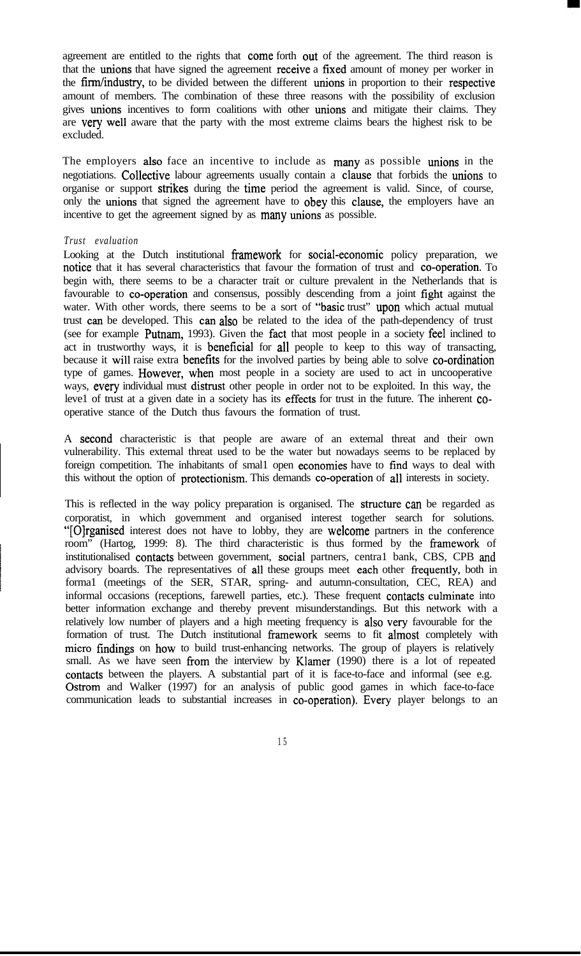agreement are entitled to the rights that come forth out of the agreement. The third reason is that the unions that have signed the agreement receive a fíxed amount of money per worker in the fírm/industry, to be divided between the different unions in proportion to their respective amount of members. The combination of these three reasons with the possibility of exclusion gives unions incentives to form coalitions with other unions and mitigate their claims. They are very wel1 aware that the party with the most extreme claims bears the highest risk to be excluded.

The employers also face an incentive to include as many as possible unions in the negotiations. Collective labour agreements usually contain a clause that forbids the unions to organise or support strikes during the time period the agreement is valid. Since, of course, only the unions that signed the agreement have to obey this clause, the employers have an incentive to get the agreement signed by as many unions as possible.

## *Trust evaluation*

Looking at the Dutch institutional framework for social-economic policy preparation, we notice that it has several characteristics that favour the formation of trust and co-operation. To begin with, there seems to be a character trait or culture prevalent in the Netherlands that is favourable to co-operation and consensus, possibly descending from a joint fíght against the water. With other words, there seems to be a sort of "basic trust" upon which actual mutual trust can be developed. This can also be related to the idea of the path-dependency of trust (see for example Putnam, 1993). Given the fact that most people in a society feel inclined to act in trustworthy ways, it is beneficial for al1 people to keep to this way of transacting, because it will raise extra benefits for the involved parties by being able to solve co-ordination type of games. However, when most people in a society are used to act in uncooperative ways, every individual must distrust other people in order not to be exploited. In this way, the leve1 of trust at a given date in a society has its effects for trust in the future. The inherent cooperative stance of the Dutch thus favours the formation of trust.

A second characteristic is that people are aware of an extemal threat and their own vulnerability. This extemal threat used to be the water but nowadays seems to be replaced by foreign competition. The inhabitants of smal1 open economies have to fïnd ways to deal with this without the option of protectionism. This demands co-operation of al1 interests in society.

This is reflected in the way policy preparation is organised. The structure can be regarded as corporatist, in which government and organised interest together search for solutions. "[Olrganised interest does not have to lobby, they are welcome partners in the conference room" (Hartog, 1999: 8). The third characteristic is thus formed by the framework of institutionalised contacts between government, social partners, centra1 bank, CBS, CPB and advisory boards. The representatives of all these groups meet each other frequently, both in forma1 (meetings of the SER, STAR, spring- and autumn-consultation, CEC, REA) and informal occasions (receptions, farewell parties, etc.). These frequent contacts culminate into better information exchange and thereby prevent misunderstandings. But this network with a relatively low number of players and a high meeting frequency is also very favourable for the formation of trust. The Dutch institutional framework seems to fit almost completely with micro findings on how to build trust-enhancing networks. The group of players is relatively small. As we have seen from the interview by Klamer (1990) there is a lot of repeated contacts between the players. A substantial part of it is face-to-face and informal (see e.g. Ostrom and Walker (1997) for an analysis of public good games in which face-to-face communication leads to substantial increases in co-operation). Every player belongs to an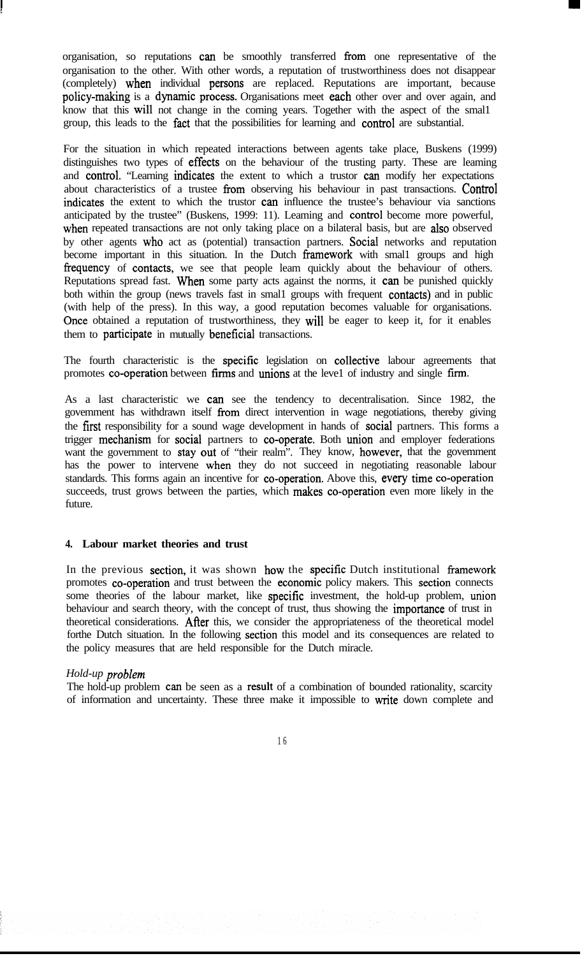organisation, so reputations can be smoothly transferred from one representative of the organisation to the other. With other words, a reputation of trustworthiness does not disappear (completely) when individual persons are replaced. Reputations are important, because policy-making is a dynamic process. Organisations meet each other over and over again, and know that this wil1 not change in the coming years. Together with the aspect of the smal1 group, this leads to the fact that the possibilities for learning and control are substantial.

For the situation in which repeated interactions between agents take place, Buskens (1999) distinguishes two types of effects on the behaviour of the trusting party. These are leaming and control. "Learning indicates the extent to which a trustor can modify her expectations about characteristics of a trustee from observing his behaviour in past transactions. Control indicates the extent to which the trustor can influence the trustee's behaviour via sanctions anticipated by the trustee" (Buskens, 1999: 11). Leaming and control become more powerful, when repeated transactions are not only taking place on a bilateral basis, but are also observed by other agents who act as (potential) transaction partners. Social networks and reputation become important in this situation. In the Dutch framework with small groups and high frequency of contacts, we see that people leam quickly about the behaviour of others. Reputations spread fast. When some party acts against the norms, it can be punished quickly both within the group (news travels fast in small groups with frequent contacts) and in public (with help of the press). In this way, a good reputation becomes valuable for organisations. Once obtained a reputation of trustworthiness, they will be eager to keep it, for it enables them to participate in mutually beneficial transactions.

The fourth characteristic is the specific legislation on collective labour agreements that promotes co-operation between fïrms and unions at the leve1 of industry and single firm.

As a last characteristic we can see the tendency to decentralisation. Since 1982, the govemment has withdrawn itself from direct intervention in wage negotiations, thereby giving the fírst responsibility for a sound wage development in hands of social partners. This forms a trigger mechanism for social partners to co-operate. Both union and employer federations want the government to stay out of "their realm". They know, however, that the govemment has the power to intervene when they do not succeed in negotiating reasonable labour standards. This forms again an incentive for co-operation. Above this, every time co-operation succeeds, trust grows between the parties, which makes co-operation even more likely in the future.

#### **4. Labour market theories and trust**

In the previous section, it was shown how the specific Dutch institutional framework promotes co-operation and trust between the economie policy makers. This section connects some theories of the labour market, like specific investment, the hold-up problem, union behaviour and search theory, with the concept of trust, thus showing the **importance** of trust in theoretical considerations. After this, we consider the appropriateness of the theoretical model forthe Dutch situation. In the following section this model and its consequences are related to the policy measures that are held responsible for the Dutch miracle.

## *Hold-up problem*

The hold-up problem can be seen as a result of a combination of bounded rationality, scarcity of information and uncertainty. These three make it impossible to write down complete and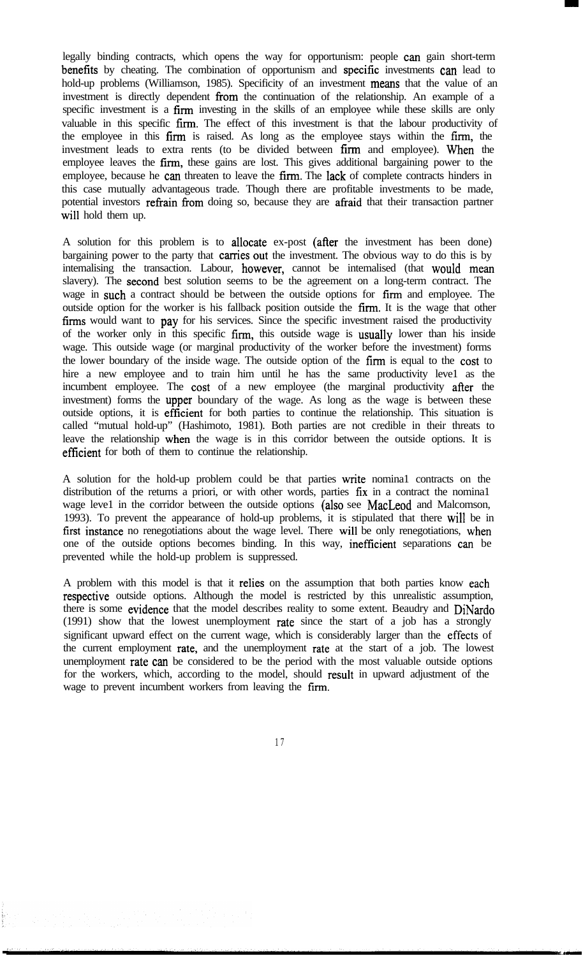legally binding contracts, which opens the way for opportunism: people can gain short-term benefits by cheating. The combination of opportunism and specific investments can lead to hold-up problems (Williamson, 1985). Specificity of an investment means that the value of an investment is directly dependent from the continuation of the relationship. An example of a specific investment is a firm investing in the skills of an employee while these skills are only valuable in this specific firm. The effect of this investment is that the labour productivity of the employee in this firm is raised. As long as the employee stays within the firm, the investment leads to extra rents (to be divided between firm and employee). When the employee leaves the **firm**, these gains are lost. This gives additional bargaining power to the employee, because he can threaten to leave the firm. The lack of complete contracts hinders in this case mutually advantageous trade. Though there are profitable investments to be made, potential investors refrain from doing so, because they are afraid that their transaction partner will hold them up.

A solution for this problem is to allocate ex-post (after the investment has been done) bargaining power to the party that carries out the investment. The obvious way to do this is by intemalising the transaction. Labour, however, cannot be intemalised (that would mean slavery). The second best solution seems to be the agreement on a long-term contract. The wage in such a contract should be between the outside options for firm and employee. The outside option for the worker is his fallback position outside the fïrm. It is the wage that other firms would want to pay for his services. Since the specific investment raised the productivity of the worker only in this specific fïrm, this outside wage is usually lower than his inside wage. This outside wage (or marginal productivity of the worker before the investment) forms the lower boundary of the inside wage. The outside option of the firm is equal to the cost to hire a new employee and to train him until he has the same productivity leve1 as the incumbent employee. The tost of a new employee (the marginal productivity afier the investment) forms the upper boundary of the wage. As long as the wage is between these outside options, it is efficient for both parties to continue the relationship. This situation is called "mutual hold-up" (Hashimoto, 1981). Both parties are not credible in their threats to leave the relationship when the wage is in this corridor between the outside options. It is efficient for both of them to continue the relationship.

A solution for the hold-up problem could be that parties write nomina1 contracts on the distribution of the returns a priori, or with other words, parties fix in a contract the nomina1 wage leve1 in the corridor between the outside options (also see MacLeod and Malcomson, 1993). To prevent the appearance of hold-up problems, it is stipulated that there wil1 be in fïrst instance no renegotiations about the wage level. There wil1 be only renegotiations, when one of the outside options becomes binding. In this way, inefficient separations can be prevented while the hold-up problem is suppressed.

A problem with this model is that it relies on the assumption that both parties know each respective outside options. Although the model is restricted by this unrealistic assumption, there is some evidence that the model describes reality to some extent. Beaudry and DiNardo (1991) show that the lowest unemployment rate since the start of a job has a strongly significant upward effect on the current wage, which is considerably larger than the effects of the current employment rate, and the unemployment rate at the start of a job. The lowest unemployment rate can be considered to be the period with the most valuable outside options for the workers, which, according to the model, should result in upward adjustment of the wage to prevent incumbent workers from leaving the firm.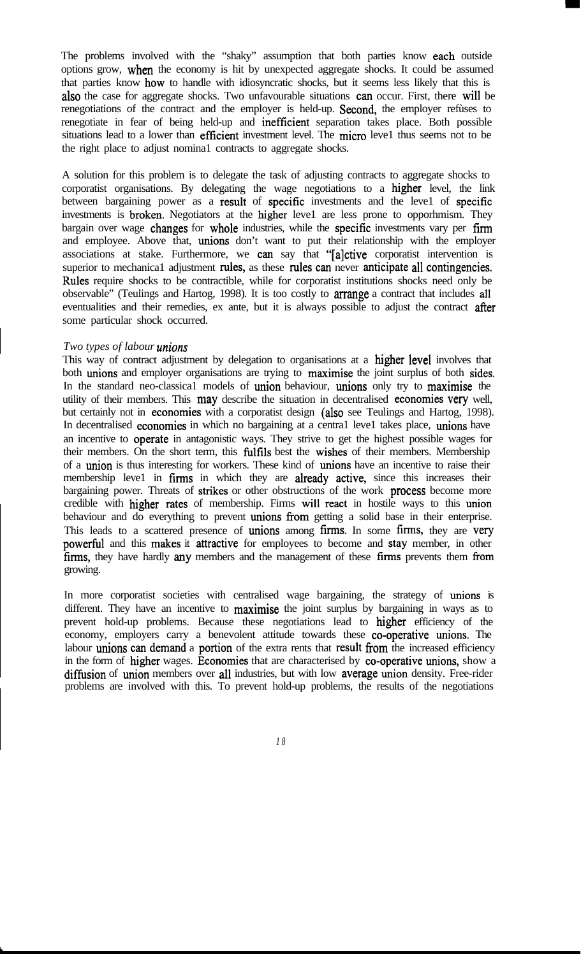The problems involved with the "shaky" assumption that both parties know each outside options grow, when the economy is hit by unexpected aggregate shocks. It could be assumed that parties know how to handle with idiosyncratic shocks, but it seems less likely that this is also the case for aggregate shocks. Two unfavourable situations can occur. First, there will be renegotiations of the contract and the employer is held-up. Second, the employer refùses to renegotiate in fear of being held-up and inefficient separation takes place. Both possible situations lead to a lower than efficient investment level. The micro leve1 thus seems not to be the right place to adjust nomina1 contracts to aggregate shocks.

A solution for this problem is to delegate the task of adjusting contracts to aggregate shocks to corporatist organisations. By delegating the wage negotiations to a higher level, the link between bargaining power as a result of specific investments and the level of specific investments is broken. Negotiators at the higher leve1 are less prone to opporhmism. They bargain over wage changes for whole industries, while the specific investments vary per firm and employee. Above that, unions don't want to put their relationship with the employer associations at stake. Furthermore, we can say that "[alctive corporatist intervention is superior to mechanica1 adjustment rules, as these rules can never anticipate all contingencies. Rules require shocks to be contractible, while for corporatist institutions shocks need only be observable" (Teulings and Hartog, 1998). It is too costly to arrange a contract that includes al1 eventualities and their remedies, ex ante, but it is always possible to adjust the contract after some particular shock occurred.

## *Two types of labour unions*

F

This way of contract adjustment by delegation to organisations at a **higher level** involves that both unions and employer organisations are trying to maximise the joint surplus of both sides. In the standard neo-classica1 models of union behaviour, unions only try to maximise the utility of their members. This may describe the situation in decentralised economies very well, but certainly not in economies with a corporatist design (also see Teulings and Hartog, 1998). In decentralised economies in which no bargaining at a centra1 leve1 takes place, unions have an incentive to operate in antagonistic ways. They strive to get the highest possible wages for their members. On the short term, this fùlfïls best the wishes of their members. Membership of a union is thus interesting for workers. These kind of unions have an incentive to raise their membership leve1 in firms in which they are already active, since this increases their bargaining power. Threats of strikes or other obstructions of the work process become more credible with higher rates of membership. Firms wil1 react in hostile ways to this union behaviour and do everything to prevent unions from getting a solid base in their enterprise. This leads to a scattered presence of unions among firms. In some firms, they are very powerful and this makes it attractive for employees to become and stay member, in other firms, they have hardly any members and the management of these firms prevents them from growing.

In more corporatist societies with centralised wage bargaining, the strategy of unions is different. They have an incentive to **maximise** the joint surplus by bargaining in ways as to prevent hold-up problems. Because these negotiations lead to higher efficiency of the economy, employers carry a benevolent attitude towards these co-operative unions. The labour unions can demand a portion of the extra rents that result from the increased efficiency in the form of higher wages. Economies that are characterised by co-operative unions, show a diffusion of union members over all industries, but with low average union density. Free-rider problems are involved with this. To prevent hold-up problems, the results of the negotiations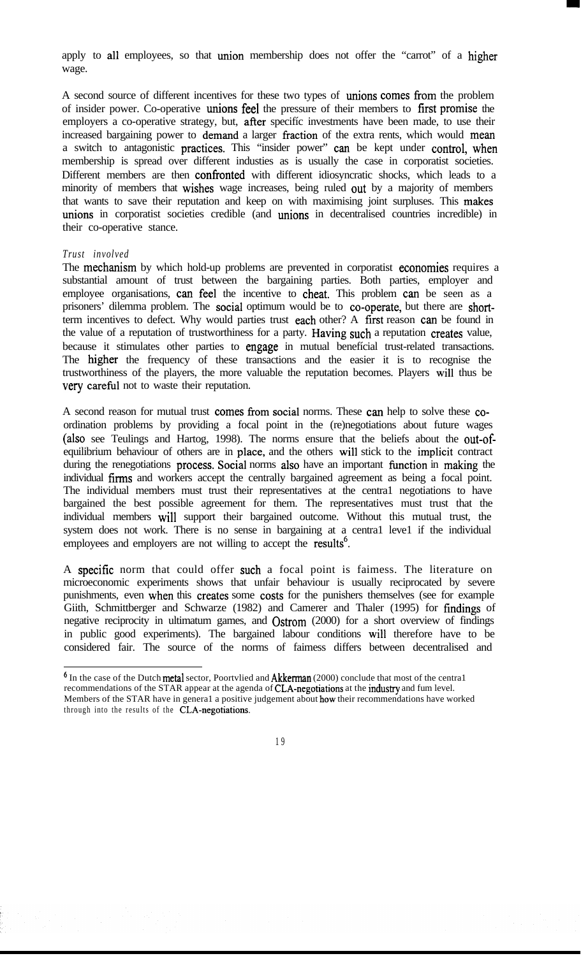apply to al1 employees, so that union membership does not offer the "carrot" of a higher wage.

A second source of different incentives for these two types of unions comes from the problem of insider power. Co-operative unions fee1 the pressure of their members to fírst promise the employers a co-operative strategy, but, after specifíc investments have been made, to use their increased bargaining power to demand a larger fraction of the extra rents, which would mean a switch to antagonistic practices. This "insider power" can be kept under control, when membership is spread over different industies as is usually the case in corporatist societies. Different members are then confronted with different idiosyncratic shocks, which leads to a minority of members that wishes wage increases, being ruled out by a majority of members that wants to save their reputation and keep on with maximising joint surpluses. This makes unions in corporatist societies credible (and unions in decentralised countries incredible) in their co-operative stance.

## *Trust involved*

The mechanism by which hold-up problems are prevented in corporatist economies requires a substantial amount of trust between the bargaining parties. Both parties, employer and employee organisations, can fee1 the incentive to cheat. This problem can be seen as a prisoners' dilemma problem. The social optimum would be to co-operate, but there are shortterm incentives to defect. Why would parties trust each other? A first reason can be found in the value of a reputation of trustworthiness for a party. Having such a reputation creates value, because it stimulates other parties to engage in mutual benefícial trust-related transactions. The higher the frequency of these transactions and the easier it is to recognise the trustworthiness of the players, the more valuable the reputation becomes. Players wil1 thus be very careful not to waste their reputation.

A second reason for mutual trust comes fiom social norms. These can help to solve these coordination problems by providing a focal point in the (re)negotiations about future wages (also see Teulings and Hartog, 1998). The norms ensure that the beliefs about the out-ofequilibrium behaviour of others are in place, and the others wil1 stick to the implicit contract during the renegotiations process. Social norms also have an important fùnction in making the individual fhrns and workers accept the centrally bargained agreement as being a focal point. The individual members must trust their representatives at the centra1 negotiations to have bargained the best possible agreement for them. The representatives must trust that the individual members wil1 support their bargained outcome. Without this mutual trust, the system does not work. There is no sense in bargaining at a central level if the individual employees and employers are not willing to accept the **results**<sup>6</sup>.

A specifïc norm that could offer such a focal point is faimess. The literature on microeconomic experiments shows that unfair behaviour is usually reciprocated by severe punishments, even when this creates some costs for the punishers themselves (see for example Giith, Schmittberger and Schwarze (1982) and Camerer and Thaler (1995) for fïndings of negative reciprocity in ultimatum games, and Ostrom (2000) for a short overview of findings in public good experiments). The bargained labour conditions wil1 therefore have to be considered fair. The source of the norms of faimess differs between decentralised and

<sup>&</sup>lt;sup>6</sup> In the case of the Dutch metal sector, Poortvlied and Akkerman (2000) conclude that most of the central recommendations of the STAR appear at the agenda of CLA-negotiations at the industry and fum level. Members of the STAR have in genera1 a positive judgement about how their recommendations have worked through into the results of the CLA-negotiations.

<sup>1 9</sup>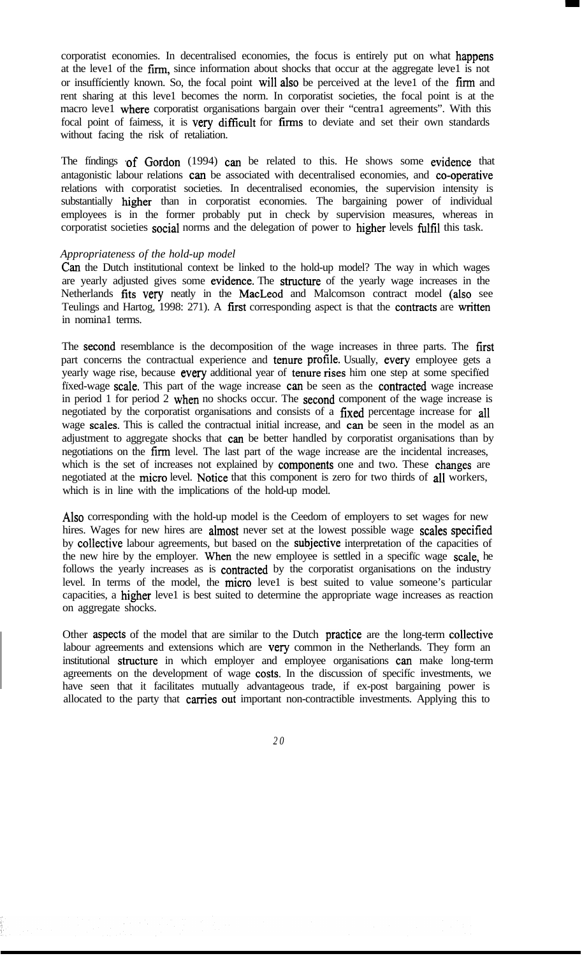corporatist economies. In decentralised economies, the focus is entirely put on what happens at the leve1 of the firm, since information about shocks that occur at the aggregate leve1 is not or insuffíciently known. So, the focal point wil1 also be perceived at the leve1 of the fírm and rent sharing at this leve1 becomes the norm. In corporatist societies, the focal point is at the macro leve1 where corporatist organisations bargain over their "centra1 agreements". With this focal point of faimess, it is very difficult for fïrms to deviate and set their own standards without facing the risk of retaliation.

The findings of Gordon (1994) can be related to this. He shows some evidence that antagonistic labour relations can be associated with decentralised economies, and co-operative relations with corporatist societies. In decentralised economies, the supervision intensity is substantially higher than in corporatist economies. The bargaining power of individual employees is in the former probably put in check by supervision measures, whereas in corporatist societies social norms and the delegation of power to higher levels fulfíl this task.

## *Appropriateness of the hold-up model*

Can the Dutch institutional context be linked to the hold-up model? The way in which wages are yearly adjusted gives some evidence. The structure of the yearly wage increases in the Netherlands fïts very neatly in the MacLeod and Malcomson contract model (also see Teulings and Hartog, 1998: 271). A fírst corresponding aspect is that the contracts are written in nomina1 terms.

The second resemblance is the decomposition of the wage increases in three parts. The first part concerns the contractual experience and tenure profíle. Usually, every employee gets a yearly wage rise, because every additional year of tenure rises him one step at some specifïed fïxed-wage scale. This part of the wage increase can be seen as the contracted wage increase in period 1 for period 2 when no shocks occur. The second component of the wage increase is negotiated by the corporatist organisations and consists of a fíxed percentage increase for al1 wage scales. This is called the contractual initial increase, and can be seen in the model as an adjustment to aggregate shocks that can be better handled by corporatist organisations than by negotiations on the firm level. The last part of the wage increase are the incidental increases, which is the set of increases not explained by **components** one and two. These **changes** are negotiated at the micro level. Notice that this component is zero for two thirds of all workers, which is in line with the implications of the hold-up model.

Also corresponding with the hold-up model is the Ceedom of employers to set wages for new hires. Wages for new hires are almost never set at the lowest possible wage scales specified by collective labour agreements, but based on the subjective interpretation of the capacities of the new hire by the employer. When the new employee is settled in a specifïc wage scale, he follows the yearly increases as is contracted by the corporatist organisations on the industry level. In terms of the model, the micro leve1 is best suited to value someone's particular capacities, a higher leve1 is best suited to determine the appropriate wage increases as reaction on aggregate shocks.

Other aspects of the model that are similar to the Dutch practice are the long-term collective labour agreements and extensions which are very common in the Netherlands. They form an institutional structure in which employer and employee organisations can make long-term agreements on the development of wage costs. In the discussion of specifíc investments, we have seen that it facilitates mutually advantageous trade, if ex-post bargaining power is allocated to the party that carries out important non-contractible investments. Applying this to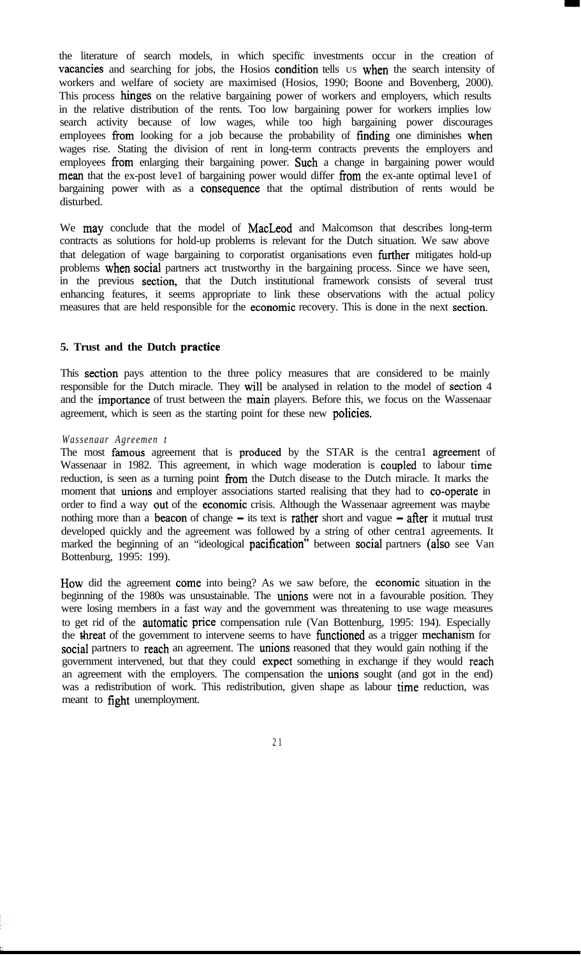the literature of search models, in which specifïc investments occur in the creation of vacancies and searching for jobs, the Hosios condition tells us when the search intensity of workers and welfare of society are maximised (Hosios, 1990; Boone and Bovenberg, 2000). This process hinges on the relative bargaining power of workers and employers, which results in the relative distribution of the rents. Too low bargaining power for workers implies low search activity because of low wages, while too high bargaining power discourages employees from looking for a job because the probability of fïnding one diminishes when wages rise. Stating the division of rent in long-term contracts prevents the employers and employees from enlarging their bargaining power. Such a change in bargaining power would mean that the ex-post leve1 of bargaining power would differ from the ex-ante optimal leve1 of bargaining power with as a consequence that the optimal distribution of rents would be disturbed.

We may conclude that the model of MacLeod and Malcomson that describes long-term contracts as solutions for hold-up problems is relevant for the Dutch situation. We saw above that delegation of wage bargaining to corporatist organisations even further mitigates hold-up problems when social partners act trustworthy in the bargaining process. Since we have seen, in the previous section, that the Dutch institutional framework consists of several trust enhancing features, it seems appropriate to link these observations with the actual policy measures that are held responsible for the economie recovery. This is done in the next section.

### **5. Trust and the Dutch practice**

This section pays attention to the three policy measures that are considered to be mainly responsible for the Dutch miracle. They wil1 be analysed in relation to the model of section 4 and the importance of trust between the main players. Before this, we focus on the Wassenaar agreement, which is seen as the starting point for these new policies.

#### *Wassenaar Agreemen t*

The most famous agreement that is produced by the STAR is the central agreement of Wassenaar in 1982. This agreement, in which wage moderation is coupled to labour time reduction, is seen as a turning point from the Dutch disease to the Dutch miracle. It marks the moment that unions and employer associations started realising that they had to co-operate in order to find a way out of the economie crisis. Although the Wassenaar agreement was maybe nothing more than a beacon of change  $-$  its text is **rather** short and vague  $-$  after it mutual trust developed quickly and the agreement was followed by a string of other centra1 agreements. It marked the beginning of an "ideological pacification" between social partners (also see Van Bottenburg, 1995: 199).

How did the agreement come into being? As we saw before, the economie situation in the beginning of the 1980s was unsustainable. The **unions** were not in a favourable position. They were losing members in a fast way and the government was threatening to use wage measures to get rid of the automatie price compensation rule (Van Bottenburg, 1995: 194). Especially the threat of the govemment to intervene seems to have functioned as a trigger mechanism for social partners to reach an agreement. The unions reasoned that they would gain nothing if the government intervened, but that they could expect something in exchange if they would reach an agreement with the employers. The compensation the unions sought (and got in the end) was a redistribution of work. This redistribution, given shape as labour time reduction, was meant to fight unemployment.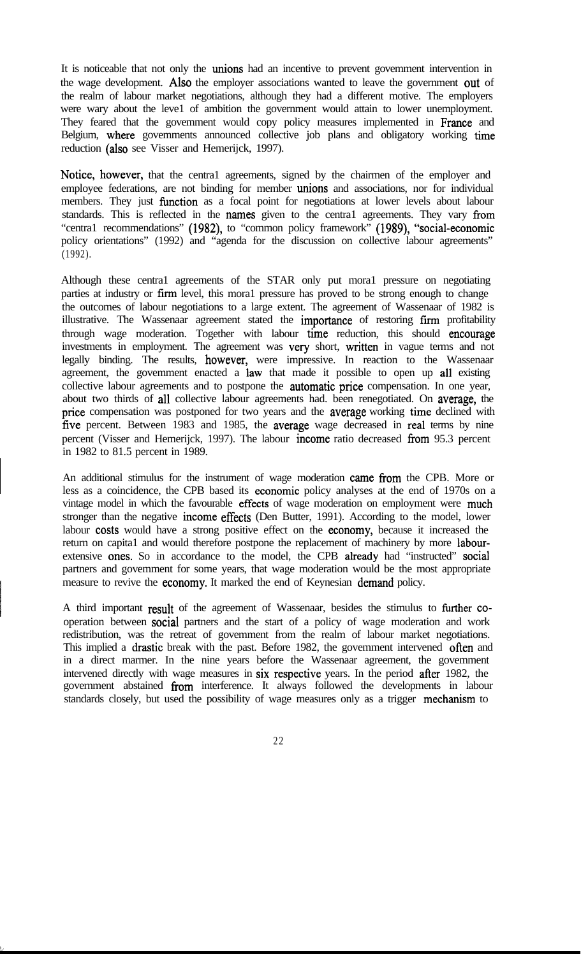It is noticeable that not only the unions had an incentive to prevent govemment intervention in the wage development. Also the employer associations wanted to leave the government out of the realm of labour market negotiations, although they had a different motive. The employers were wary about the leve1 of ambition the government would attain to lower unemployment. They feared that the govemment would copy policy measures implemented in France and Belgium, where govemments announced collective job plans and obligatory working time reduction (also see Visser and Hemerijck, 1997).

Notice, however, that the centra1 agreements, signed by the chairmen of the employer and employee federations, are not binding for member unions and associations, nor for individual members. They just function as a focal point for negotiations at lower levels about labour standards. This is reflected in the names given to the central agreements. They vary from "centra1 recommendations" (1982), to "common policy framework" (1989), "social-economic policy orientations" (1992) and "agenda for the discussion on collective labour agreements" (1992).

Although these centra1 agreements of the STAR only put mora1 pressure on negotiating parties at industry or firm level, this mora1 pressure has proved to be strong enough to change the outcomes of labour negotiations to a large extent. The agreement of Wassenaar of 1982 is illustrative. The Wassenaar agreement stated the importance of restoring firm profitability through wage moderation. Together with labour time reduction, this should encourage investments in employment. The agreement was very short, written in vague terms and not legally binding. The results, however, were impressive. In reaction to the Wassenaar agreement, the govemment enacted a law that made it possible to open up al1 existing collective labour agreements and to postpone the **automatic price** compensation. In one year, about two thirds of al1 collective labour agreements had. been renegotiated. On average, the price compensation was postponed for two years and the **average** working time declined with five percent. Between 1983 and 1985, the average wage decreased in real terms by nine percent (Visser and Hemerijck, 1997). The labour income ratio decreased from 95.3 percent in 1982 to 81.5 percent in 1989.

An additional stimulus for the instrument of wage moderation came from the CPB. More or less as a coincidence, the CPB based its economie policy analyses at the end of 1970s on a vintage model in which the favourable effects of wage moderation on employment were much stronger than the negative income effects (Den Butter, 1991). According to the model, lower labour costs would have a strong positive effect on the economy, because it increased the return on capita1 and would therefore postpone the replacement of machinery by more labourextensive ones. So in accordance to the model, the CPB already had "instructed" social partners and govemment for some years, that wage moderation would be the most appropriate measure to revive the economy. It marked the end of Keynesian demand policy.

A third important result of the agreement of Wassenaar, besides the stimulus to further cooperation between social partners and the start of a policy of wage moderation and work redistribution, was the retreat of govemment from the realm of labour market negotiations. This implied a drastic break with the past. Before 1982, the govemment intervened ofien and in a direct marmer. In the nine years before the Wassenaar agreement, the govemment intervened directly with wage measures in six respective years. In the period afier 1982, the government abstained from interference. It always followed the developments in labour standards closely, but used the possibility of wage measures only as a trigger mechanism to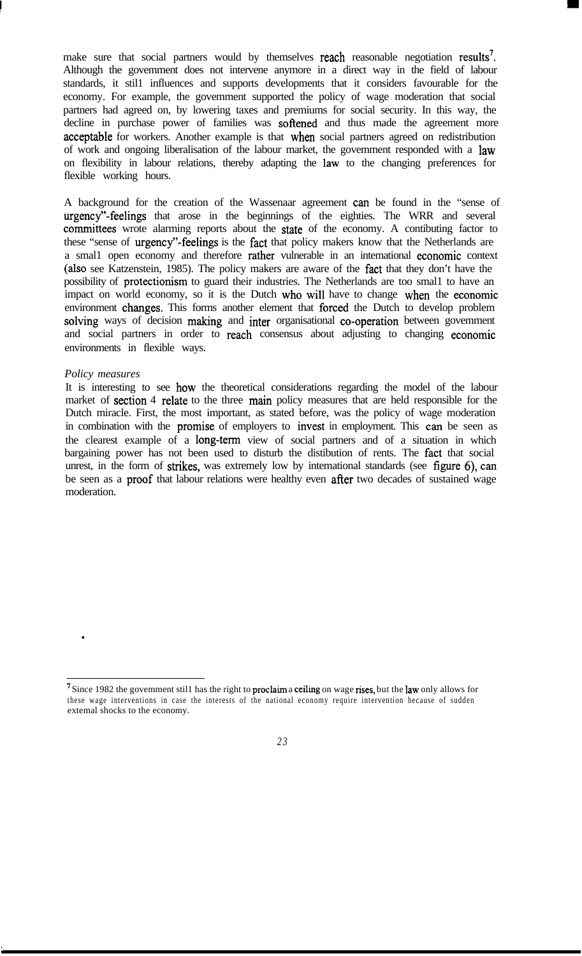make sure that social partners would by themselves **reach** reasonable negotiation results<sup>7</sup>. Although the govemment does not intervene anymore in a direct way in the field of labour standards, it stil1 influences and supports developments that it considers favourable for the economy. For example, the govemment supported the policy of wage moderation that social partners had agreed on, by lowering taxes and premiums for social security. In this way, the decline in purchase power of families was **softened** and thus made the agreement more acceptable for workers. Another example is that when social partners agreed on redistribution of work and ongoing liberalisation of the labour market, the govemment responded with a law on flexibility in labour relations, thereby adapting the law to the changing preferences for flexible working hours.

A background for the creation of the Wassenaar agreement can be found in the "sense of urgency"-feelings that arose in the beginnings of the eighties. The WRR and several committees wrote alarming reports about the state of the economy. A contibuting factor to these "sense of urgency"-feelings is the fact that policy makers know that the Netherlands are a smal1 open economy and therefore rather vulnerable in an intemational economie context (also see Katzenstein, 1985). The policy makers are aware of the fact that they don't have the possibility of protectionism to guard their industries. The Netherlands are too smal1 to have an impact on world economy, so it is the Dutch who wil1 have to change when the economie environment changes. This forms another element that forced the Dutch to develop problem solving ways of decision making and inter organisational co-operation between govemment and social partners in order to reach consensus about adjusting to changing economie environments in flexible ways.

## *Policy measures*

.

',

It is interesting to see how the theoretical considerations regarding the model of the labour market of **section** 4 relate to the three main policy measures that are held responsible for the Dutch miracle. First, the most important, as stated before, was the policy of wage moderation in combination with the **promise** of employers to **invest** in employment. This **can** be seen as the clearest example of a long-term view of social partners and of a situation in which bargaining power has not been used to disturb the distibution of rents. The fact that social unrest, in the form of strikes, was extremely low by intemational standards (see figure 6), can be seen as a **proof** that labour relations were healthy even **after** two decades of sustained wage moderation.

<sup>&</sup>lt;sup>7</sup> Since 1982 the govemment still has the right to **proclaim** a **ceiling** on wage **rises**, but the **law** only allows for these wage interventions in case the interests of the national economy require intervention because of sudden extemal shocks to the economy.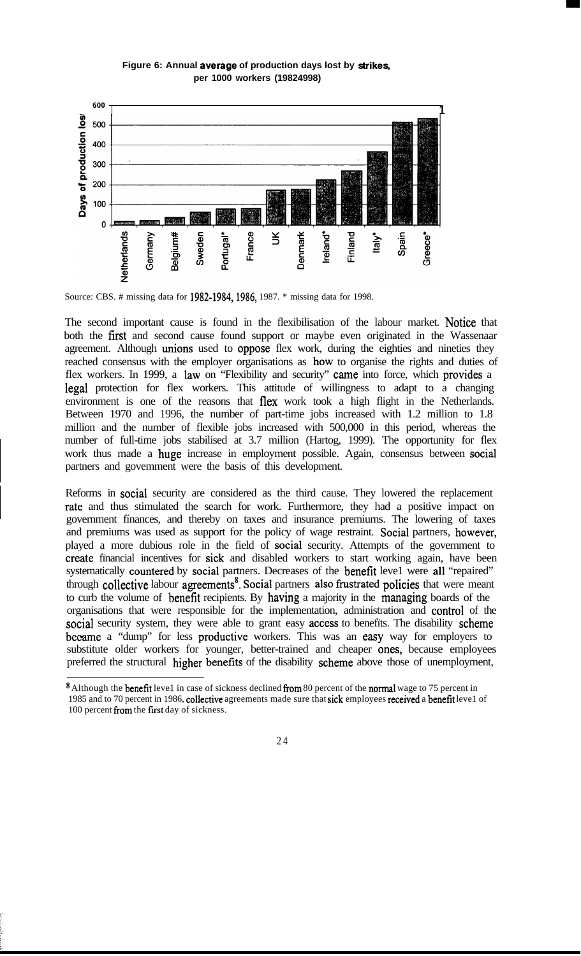

**Figure 6: Annual average of production days lost by strikes, per 1000 workers (19824998)**

The second important cause is found in the flexibilisation of the labour market. Notice that both the fïrst and second cause found support or maybe even originated in the Wassenaar agreement. Although unions used to oppose flex work, during the eighties and nineties they reached consensus with the employer organisations as how to organise the rights and duties of flex workers. In 1999, a law on "Flexibility and security" came into force, which provides a legal protection for flex workers. This attitude of willingness to adapt to a changing environment is one of the reasons that flex work took a high flight in the Netherlands. Between 1970 and 1996, the number of part-time jobs increased with 1.2 million to 1.8 million and the number of flexible jobs increased with 500,000 in this period, whereas the number of full-time jobs stabilised at 3.7 million (Hartog, 1999). The opportunity for flex work thus made a huge increase in employment possible. Again, consensus between social partners and govemment were the basis of this development.

Reforms in social security are considered as the third cause. They lowered the replacement rate and thus stimulated the search for work. Furthermore, they had a positive impact on government fínances, and thereby on taxes and insurance premiurns. The lowering of taxes and premiums was used as support for the policy of wage restraint. Social partners, however, played a more dubious role in the field of social security. Attempts of the government to create fïnancial incentives for sick and disabled workers to start working again, have been systematically countered by social partners. Decreases of the benefit leve1 were al1 "repaired" through collective labour agreements<sup>8</sup>. Social partners also frustrated policies that were meant to curb the volume of benefit recipients. By having a majority in the managing boards of the organisations that were responsible for the implementation, administration and control of the social security system, they were able to grant easy access to benefits. The disability scheme became a "dump" for less productive workers. This was an easy way for employers to substitute older workers for younger, better-trained and cheaper ones, because employees preferred the structural higher benefits of the disability scheme above those of unemployment,

<sup>&</sup>lt;sup>8</sup> Although the **benefit** leve1 in case of sickness declined from 80 percent of the normal wage to 75 percent in 1985 and to 70 percent in 1986, collective agreements made sure that sick employees received a benefit leve1 of 100 percent from the first day of sickness.



Source: CBS. # missing data for 1982-1984,1986, 1987. \* missing data for 1998.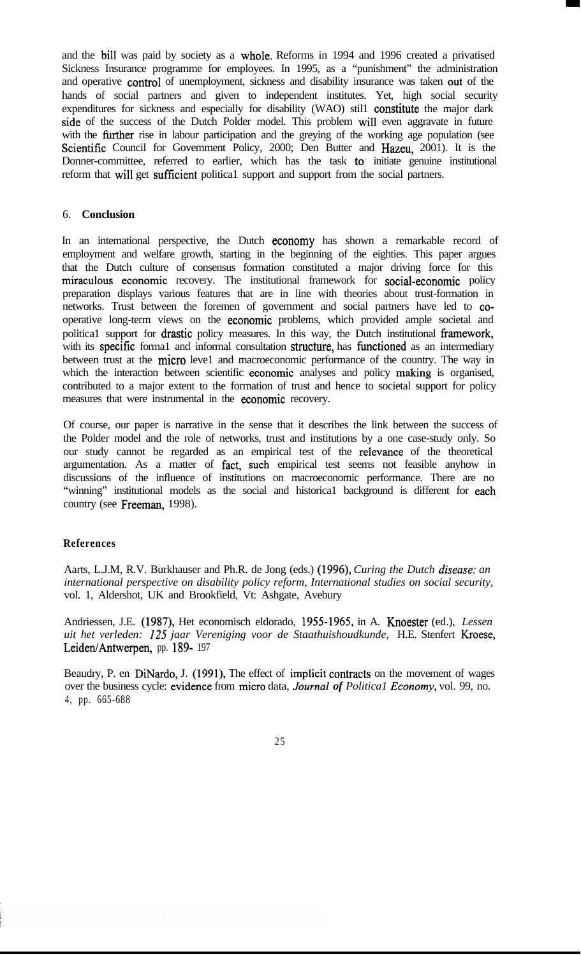and the bil1 was paid by society as a whole. Reforms in 1994 and 1996 created a privatised Sickness Insurance programme for employees. In 1995, as a "punishment" the administration and operative control of unemployment, sickness and disability insurance was taken out of the hands of social partners and given to independent institutes. Yet, high social security expenditures for sickness and especially for disability (WAO) stil1 constitute the major dark side of the success of the Dutch Polder model. This problem wil1 even aggravate in future with the further rise in labour participation and the greying of the working age population (see Scientific Council for Govemment Policy, 2000; Den Butter and Hazeu, 2001). It is the Donner-committee, referred to earlier, which has the task to' initiate genuine institutional reform that will get sufficient political support and support from the social partners.

## 6. **Conclusion**

In an intemational perspective, the Dutch economy has shown a remarkable record of employment and welfare growth, starting in the beginning of the eighties. This paper argues that the Dutch culture of consensus formation constituted a major driving force for this miraculeus economie recovery. The institutional framework for social-economie policy preparation displays various features that are in line with theories about trust-formation in networks. Trust between the foremen of govemment and social partners have led to cooperative long-term views on the economie problems, which provided ample societal and politica1 support for drastic policy measures. In this way, the Dutch institutional framework, with its specific formal and informal consultation structure, has functioned as an intermediary between trust at the micro leve1 and macroeconomic performance of the country. The way in which the interaction between scientific economie analyses and policy making is organised, contributed to a major extent to the formation of trust and hence to societal support for policy measures that were instrumental in the economic recovery.

Of course, our paper is narrative in the sense that it describes the link between the success of the Polder model and the role of networks, trust and institutions by a one case-study only. So our study cannot be regarded as an empirical test of the relevante of the theoretical argumentation. As a matter of fact, such empirical test seems not feasible anyhow in discussions of the influence of institutions on macroeconomic performance. There are no "winning" institutional models as the social and historica1 background is different for each country (see Freeman, 1998).

### **References**

Aarts, L.J.M, R.V. Burkhauser and Ph.R. de Jong (eds.) (1996), *Curing the Dutch disease: an international perspective on disability policy reform, International studies on social security,* vol. 1, Aldershot, UK and Brookfïeld, Vt: Ashgate, Avebury

Andriessen, J.E. (1987), Het economisch eldorado, 19551965, in A. Knoester (ed.), *Lessen uit het verleden: 125 jaar Vereniging voor de Staathuishoudkunde,* H.E. Stenfert Kroese, Leiden/Antwerpen, pp. 189- 197

Beaudry, P. en DiNardo, J. (1991), The effect of implicit contracts on the movement of wages over the business cycle: evidence from micro data, *Journal of Political Economy*, vol. 99, no. 4, pp. 665-688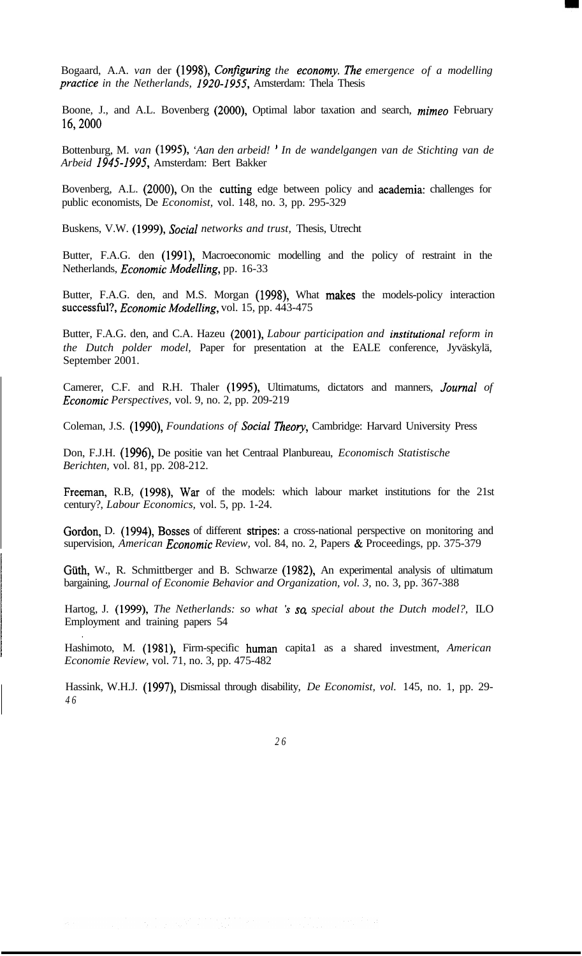Bogaard, A.A. *van* der (1998), *Configuring the economy. The emergence of a modelling practice in the Netherlands, 1920-1955*, Amsterdam: Thela Thesis

Boone, J., and A.L. Bovenberg (2000), Optimal labor taxation and search, *mimeo* February 16,200O

Bottenburg, M. *van* (1995), *'Aan den arbeid! ' In de wandelgangen van de Stichting van de Arbeid* 1945-1995, Amsterdam: Bert Bakker

Bovenberg, A.L. (2000), On the cutting edge between policy and academia: challenges for public economists, De *Economist,* vol. 148, no. 3, pp. 295-329

Buskens, V.W. (1999), *Social networks and trust,* Thesis, Utrecht

Butter, F.A.G. den (1991), Macroeconomic modelling and the policy of restraint in the Netherlands, *Economic Modelling*, pp. 16-33

Butter, F.A.G. den, and M.S. Morgan (1998), What makes the models-policy interaction successful?, *Economie Modelling,* vol. 15, pp. 443-475

Butter, F.A.G. den, and C.A. Hazeu (2001), *Labour participation and institutional reform in the Dutch polder model,* Paper for presentation at the EALE conference, Jyväskylä, September 2001.

Camerer, C.F. and R.H. Thaler (1995), Ultimatums, dictators and manners, *Journal of Economie Perspectives,* vol. 9, no. 2, pp. 209-219

Coleman, J.S. (1990), *Foundations of Social* Theory, Cambridge: Harvard University Press

Don, F.J.H. (1996), De positie van het Centraal Planbureau, *Economisch Statistische Berichten,* vol. 81, pp. 208-212.

Freeman, R.B, (1998), War of the models: which labour market institutions for the 21st century?, *Labour Economics,* vol. 5, pp. 1-24.

Gordon, D. (1994), Bosses of different stripes: a cross-national perspective on monitoring and supervision, *American Economie Review,* vol. 84, no. 2, Papers & Proceedings, pp. 375-379

Güth, W., R. Schmittberger and B. Schwarze (1982), An experimental analysis of ultimatum bargaining, *Journal of Economie Behavior and Organization, vol. 3,* no. 3, pp. 367-388

Hartog, J. (1999), *The Netherlands: so what 's so special about the Dutch model?*, ILO Employment and training papers 54

Hashimoto, M. (1981), Firm-specific human capita1 as a shared investment, *American Economie Review,* vol. 71, no. 3, pp. 475-482

Hassink, W.H.J. (1997), Dismissal through disability, *De Economist, vol.* 145, no. 1, pp. 29- *4 6*

*2 6*

.